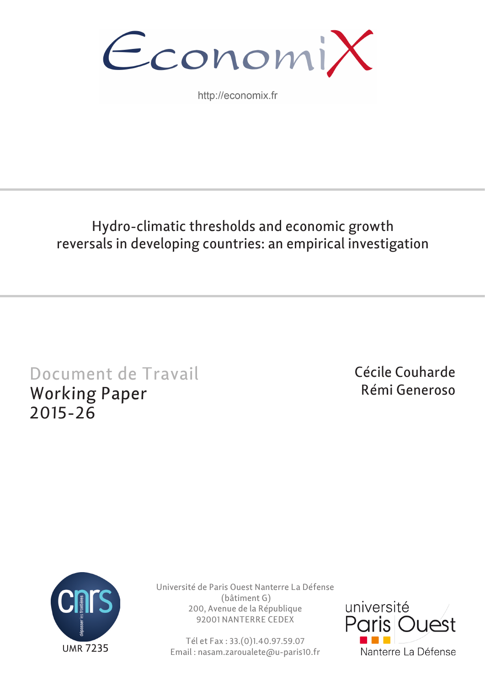

http://economix.fr

# Hydro-climatic thresholds and economic growth reversals in developing countries: an empirical investigation

# Document de Travail Working Paper 2015-26

Cécile Couharde Rémi Generoso



Université de Paris Ouest Nanterre La Défense (bâtiment G) 200, Avenue de la République 92001 NANTERRE CEDEX

Tél et Fax : 33.(0)1.40.97.59.07 Email : nasam.zaroualete@u-paris10.fr

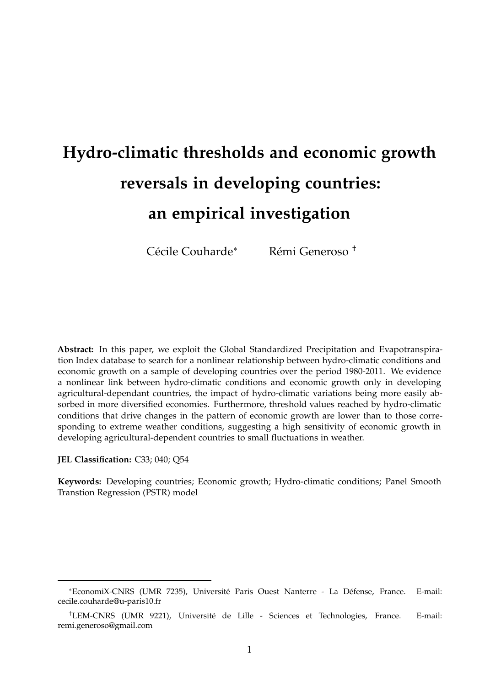# **Hydro-climatic thresholds and economic growth reversals in developing countries: an empirical investigation**

Cécile Couharde<sup>∗</sup> Rémi Generoso †

**Abstract:** In this paper, we exploit the Global Standardized Precipitation and Evapotranspiration Index database to search for a nonlinear relationship between hydro-climatic conditions and economic growth on a sample of developing countries over the period 1980-2011. We evidence a nonlinear link between hydro-climatic conditions and economic growth only in developing agricultural-dependant countries, the impact of hydro-climatic variations being more easily absorbed in more diversified economies. Furthermore, threshold values reached by hydro-climatic conditions that drive changes in the pattern of economic growth are lower than to those corresponding to extreme weather conditions, suggesting a high sensitivity of economic growth in developing agricultural-dependent countries to small fluctuations in weather.

**JEL Classification:** C33; 040; Q54

**Keywords:** Developing countries; Economic growth; Hydro-climatic conditions; Panel Smooth Transtion Regression (PSTR) model

<sup>∗</sup>EconomiX-CNRS (UMR 7235), Université Paris Ouest Nanterre - La Défense, France. E-mail: cecile.couharde@u-paris10.fr

<sup>†</sup>LEM-CNRS (UMR 9221), Université de Lille - Sciences et Technologies, France. E-mail: remi.generoso@gmail.com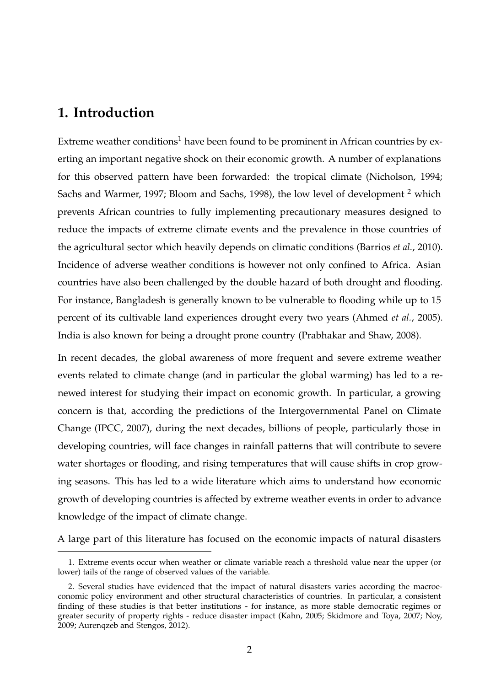# **1. Introduction**

Extreme weather conditions<sup>1</sup> have been found to be prominent in African countries by exerting an important negative shock on their economic growth. A number of explanations for this observed pattern have been forwarded: the tropical climate (Nicholson, 1994; Sachs and Warmer, 1997; Bloom and Sachs, 1998), the low level of development <sup>2</sup> which prevents African countries to fully implementing precautionary measures designed to reduce the impacts of extreme climate events and the prevalence in those countries of the agricultural sector which heavily depends on climatic conditions (Barrios *et al.*, 2010). Incidence of adverse weather conditions is however not only confined to Africa. Asian countries have also been challenged by the double hazard of both drought and flooding. For instance, Bangladesh is generally known to be vulnerable to flooding while up to 15 percent of its cultivable land experiences drought every two years (Ahmed *et al.*, 2005). India is also known for being a drought prone country (Prabhakar and Shaw, 2008).

In recent decades, the global awareness of more frequent and severe extreme weather events related to climate change (and in particular the global warming) has led to a renewed interest for studying their impact on economic growth. In particular, a growing concern is that, according the predictions of the Intergovernmental Panel on Climate Change (IPCC, 2007), during the next decades, billions of people, particularly those in developing countries, will face changes in rainfall patterns that will contribute to severe water shortages or flooding, and rising temperatures that will cause shifts in crop growing seasons. This has led to a wide literature which aims to understand how economic growth of developing countries is affected by extreme weather events in order to advance knowledge of the impact of climate change.

A large part of this literature has focused on the economic impacts of natural disasters

<sup>1.</sup> Extreme events occur when weather or climate variable reach a threshold value near the upper (or lower) tails of the range of observed values of the variable.

<sup>2.</sup> Several studies have evidenced that the impact of natural disasters varies according the macroeconomic policy environment and other structural characteristics of countries. In particular, a consistent finding of these studies is that better institutions - for instance, as more stable democratic regimes or greater security of property rights - reduce disaster impact (Kahn, 2005; Skidmore and Toya, 2007; Noy, 2009; Aurenqzeb and Stengos, 2012).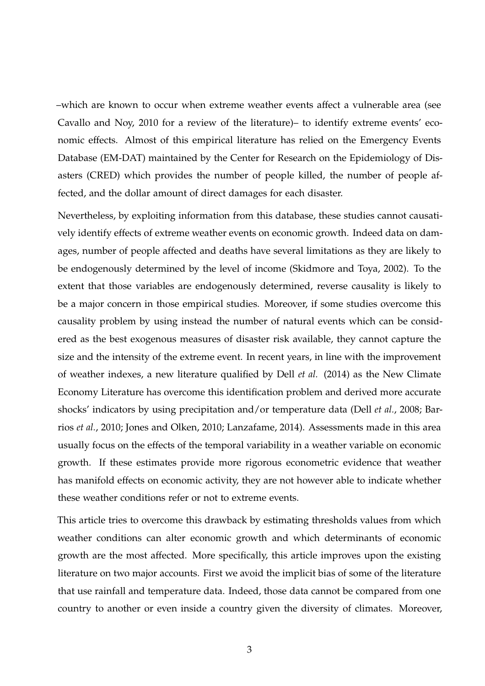–which are known to occur when extreme weather events affect a vulnerable area (see Cavallo and Noy, 2010 for a review of the literature)– to identify extreme events' economic effects. Almost of this empirical literature has relied on the Emergency Events Database (EM-DAT) maintained by the Center for Research on the Epidemiology of Disasters (CRED) which provides the number of people killed, the number of people affected, and the dollar amount of direct damages for each disaster.

Nevertheless, by exploiting information from this database, these studies cannot causatively identify effects of extreme weather events on economic growth. Indeed data on damages, number of people affected and deaths have several limitations as they are likely to be endogenously determined by the level of income (Skidmore and Toya, 2002). To the extent that those variables are endogenously determined, reverse causality is likely to be a major concern in those empirical studies. Moreover, if some studies overcome this causality problem by using instead the number of natural events which can be considered as the best exogenous measures of disaster risk available, they cannot capture the size and the intensity of the extreme event. In recent years, in line with the improvement of weather indexes, a new literature qualified by Dell *et al.* (2014) as the New Climate Economy Literature has overcome this identification problem and derived more accurate shocks' indicators by using precipitation and/or temperature data (Dell *et al.*, 2008; Barrios *et al.*, 2010; Jones and Olken, 2010; Lanzafame, 2014). Assessments made in this area usually focus on the effects of the temporal variability in a weather variable on economic growth. If these estimates provide more rigorous econometric evidence that weather has manifold effects on economic activity, they are not however able to indicate whether these weather conditions refer or not to extreme events.

This article tries to overcome this drawback by estimating thresholds values from which weather conditions can alter economic growth and which determinants of economic growth are the most affected. More specifically, this article improves upon the existing literature on two major accounts. First we avoid the implicit bias of some of the literature that use rainfall and temperature data. Indeed, those data cannot be compared from one country to another or even inside a country given the diversity of climates. Moreover,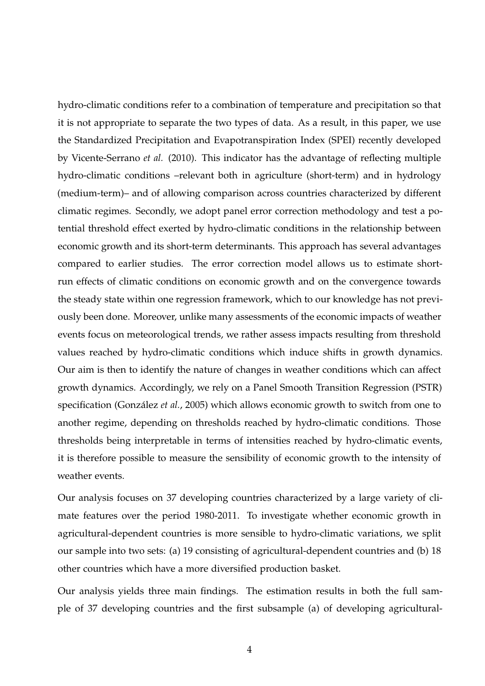hydro-climatic conditions refer to a combination of temperature and precipitation so that it is not appropriate to separate the two types of data. As a result, in this paper, we use the Standardized Precipitation and Evapotranspiration Index (SPEI) recently developed by Vicente-Serrano *et al.* (2010). This indicator has the advantage of reflecting multiple hydro-climatic conditions –relevant both in agriculture (short-term) and in hydrology (medium-term)– and of allowing comparison across countries characterized by different climatic regimes. Secondly, we adopt panel error correction methodology and test a potential threshold effect exerted by hydro-climatic conditions in the relationship between economic growth and its short-term determinants. This approach has several advantages compared to earlier studies. The error correction model allows us to estimate shortrun effects of climatic conditions on economic growth and on the convergence towards the steady state within one regression framework, which to our knowledge has not previously been done. Moreover, unlike many assessments of the economic impacts of weather events focus on meteorological trends, we rather assess impacts resulting from threshold values reached by hydro-climatic conditions which induce shifts in growth dynamics. Our aim is then to identify the nature of changes in weather conditions which can affect growth dynamics. Accordingly, we rely on a Panel Smooth Transition Regression (PSTR) specification (González *et al.*, 2005) which allows economic growth to switch from one to another regime, depending on thresholds reached by hydro-climatic conditions. Those thresholds being interpretable in terms of intensities reached by hydro-climatic events, it is therefore possible to measure the sensibility of economic growth to the intensity of weather events.

Our analysis focuses on 37 developing countries characterized by a large variety of climate features over the period 1980-2011. To investigate whether economic growth in agricultural-dependent countries is more sensible to hydro-climatic variations, we split our sample into two sets: (a) 19 consisting of agricultural-dependent countries and (b) 18 other countries which have a more diversified production basket.

Our analysis yields three main findings. The estimation results in both the full sample of 37 developing countries and the first subsample (a) of developing agricultural-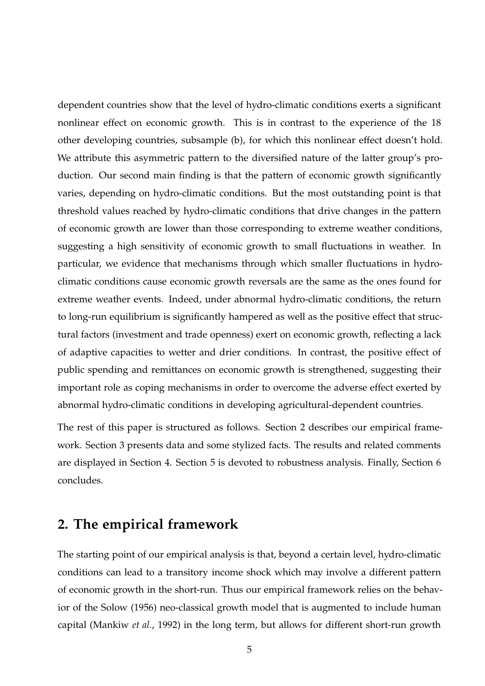dependent countries show that the level of hydro-climatic conditions exerts a significant nonlinear effect on economic growth. This is in contrast to the experience of the 18 other developing countries, subsample (b), for which this nonlinear effect doesn't hold. We attribute this asymmetric pattern to the diversified nature of the latter group's production. Our second main finding is that the pattern of economic growth significantly varies, depending on hydro-climatic conditions. But the most outstanding point is that threshold values reached by hydro-climatic conditions that drive changes in the pattern of economic growth are lower than those corresponding to extreme weather conditions, suggesting a high sensitivity of economic growth to small fluctuations in weather. In particular, we evidence that mechanisms through which smaller fluctuations in hydroclimatic conditions cause economic growth reversals are the same as the ones found for extreme weather events. Indeed, under abnormal hydro-climatic conditions, the return to long-run equilibrium is significantly hampered as well as the positive effect that structural factors (investment and trade openness) exert on economic growth, reflecting a lack of adaptive capacities to wetter and drier conditions. In contrast, the positive effect of public spending and remittances on economic growth is strengthened, suggesting their important role as coping mechanisms in order to overcome the adverse effect exerted by abnormal hydro-climatic conditions in developing agricultural-dependent countries.

The rest of this paper is structured as follows. Section 2 describes our empirical framework. Section 3 presents data and some stylized facts. The results and related comments are displayed in Section 4. Section 5 is devoted to robustness analysis. Finally, Section 6 concludes.

# **2. The empirical framework**

The starting point of our empirical analysis is that, beyond a certain level, hydro-climatic conditions can lead to a transitory income shock which may involve a different pattern of economic growth in the short-run. Thus our empirical framework relies on the behavior of the Solow (1956) neo-classical growth model that is augmented to include human capital (Mankiw *et al.*, 1992) in the long term, but allows for different short-run growth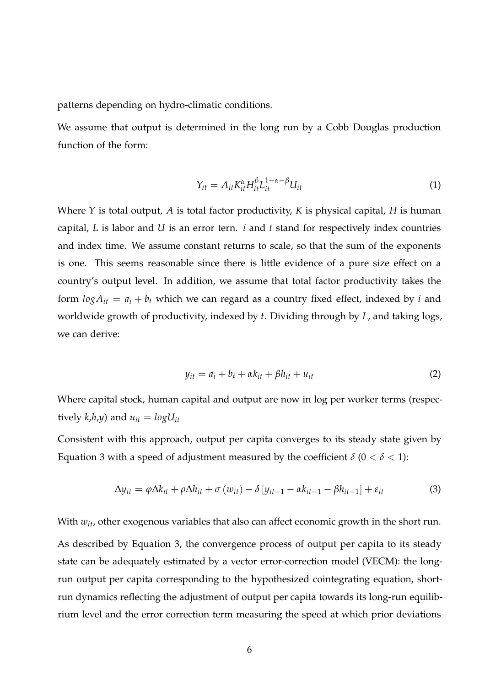patterns depending on hydro-climatic conditions.

We assume that output is determined in the long run by a Cobb Douglas production function of the form:

$$
Y_{it} = A_{it} K_{it}^{\alpha} H_{it}^{\beta} L_{it}^{1-\alpha-\beta} U_{it}
$$
\n
$$
\tag{1}
$$

Where *Y* is total output, *A* is total factor productivity, *K* is physical capital, *H* is human capital, *L* is labor and *U* is an error tern. *i* and *t* stand for respectively index countries and index time. We assume constant returns to scale, so that the sum of the exponents is one. This seems reasonable since there is little evidence of a pure size effect on a country's output level. In addition, we assume that total factor productivity takes the form  $log A_{it} = a_i + b_t$  which we can regard as a country fixed effect, indexed by *i* and worldwide growth of productivity, indexed by *t*. Dividing through by *L*, and taking logs, we can derive:

$$
y_{it} = a_i + b_t + \alpha k_{it} + \beta h_{it} + u_{it}
$$
 (2)

Where capital stock, human capital and output are now in log per worker terms (respectively  $k$ ,*h*,*y*) and  $u_{it} = log U_{it}$ 

Consistent with this approach, output per capita converges to its steady state given by Equation 3 with a speed of adjustment measured by the coefficient  $\delta$  ( $0 < \delta < 1$ ):

$$
\Delta y_{it} = \varphi \Delta k_{it} + \rho \Delta h_{it} + \sigma (w_{it}) - \delta [y_{it-1} - \alpha k_{it-1} - \beta h_{it-1}] + \varepsilon_{it}
$$
(3)

With  $w_{it}$ , other exogenous variables that also can affect economic growth in the short run. As described by Equation 3, the convergence process of output per capita to its steady state can be adequately estimated by a vector error-correction model (VECM): the longrun output per capita corresponding to the hypothesized cointegrating equation, shortrun dynamics reflecting the adjustment of output per capita towards its long-run equilibrium level and the error correction term measuring the speed at which prior deviations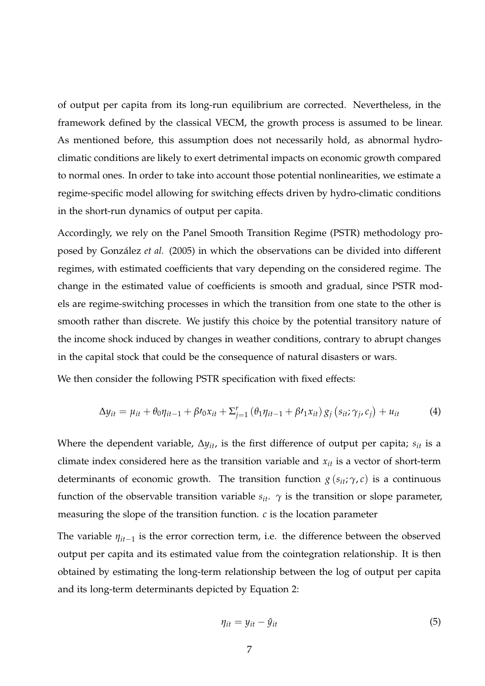of output per capita from its long-run equilibrium are corrected. Nevertheless, in the framework defined by the classical VECM, the growth process is assumed to be linear. As mentioned before, this assumption does not necessarily hold, as abnormal hydroclimatic conditions are likely to exert detrimental impacts on economic growth compared to normal ones. In order to take into account those potential nonlinearities, we estimate a regime-specific model allowing for switching effects driven by hydro-climatic conditions in the short-run dynamics of output per capita.

Accordingly, we rely on the Panel Smooth Transition Regime (PSTR) methodology proposed by González *et al.* (2005) in which the observations can be divided into different regimes, with estimated coefficients that vary depending on the considered regime. The change in the estimated value of coefficients is smooth and gradual, since PSTR models are regime-switching processes in which the transition from one state to the other is smooth rather than discrete. We justify this choice by the potential transitory nature of the income shock induced by changes in weather conditions, contrary to abrupt changes in the capital stock that could be the consequence of natural disasters or wars.

We then consider the following PSTR specification with fixed effects:

$$
\Delta y_{it} = \mu_{it} + \theta_0 \eta_{it-1} + \beta \eta_{i} x_{it} + \Sigma_{j=1}^r \left( \theta_1 \eta_{it-1} + \beta \eta_{it} x_{it} \right) g_j \left( s_{it}; \gamma_j, c_j \right) + u_{it} \tag{4}
$$

Where the dependent variable, ∆*yit*, is the first difference of output per capita; *sit* is a climate index considered here as the transition variable and *xit* is a vector of short-term determinants of economic growth. The transition function  $g(s_{it}; \gamma, c)$  is a continuous function of the observable transition variable  $s_{it}$ .  $\gamma$  is the transition or slope parameter, measuring the slope of the transition function. *c* is the location parameter

The variable *ηit*−<sup>1</sup> is the error correction term, i.e. the difference between the observed output per capita and its estimated value from the cointegration relationship. It is then obtained by estimating the long-term relationship between the log of output per capita and its long-term determinants depicted by Equation 2:

$$
\eta_{it} = y_{it} - \hat{y}_{it} \tag{5}
$$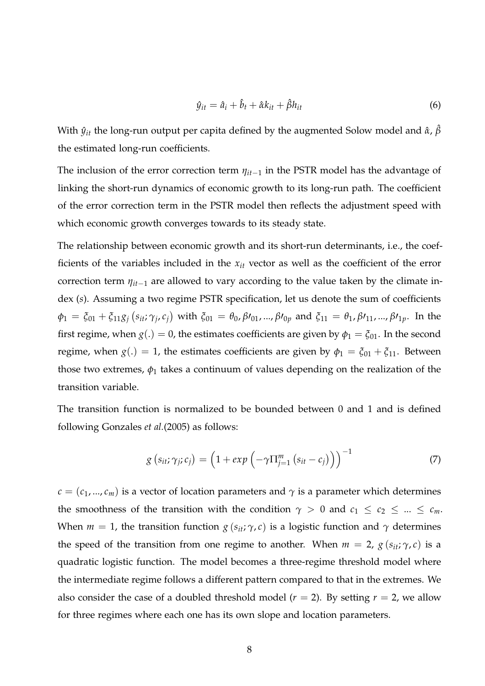$$
\hat{y}_{it} = \hat{a}_i + \hat{b}_t + \hat{\alpha}k_{it} + \hat{\beta}h_{it}
$$
\n(6)

With  $\hat{y}_{it}$  the long-run output per capita defined by the augmented Solow model and  $\hat{\alpha}$ ,  $\hat{\beta}$ the estimated long-run coefficients.

The inclusion of the error correction term *ηit*−<sup>1</sup> in the PSTR model has the advantage of linking the short-run dynamics of economic growth to its long-run path. The coefficient of the error correction term in the PSTR model then reflects the adjustment speed with which economic growth converges towards to its steady state.

The relationship between economic growth and its short-run determinants, i.e., the coefficients of the variables included in the *xit* vector as well as the coefficient of the error correction term *ηit*−<sup>1</sup> are allowed to vary according to the value taken by the climate index (*s*). Assuming a two regime PSTR specification, let us denote the sum of coefficients  $\phi_1 = \xi_{01} + \xi_{11} g_j \left( s_{it}; \gamma_j, c_j \right)$  with  $\xi_{01} = \theta_0, \beta \prime_{01}, ..., \beta \prime_{0p}$  and  $\xi_{11} = \theta_1, \beta \prime_{11}, ..., \beta \prime_{1p}$ . In the first regime, when  $g(.) = 0$ , the estimates coefficients are given by  $\phi_1 = \xi_{01}$ . In the second regime, when  $g(.) = 1$ , the estimates coefficients are given by  $\phi_1 = \xi_{01} + \xi_{11}$ . Between those two extremes,  $\phi_1$  takes a continuum of values depending on the realization of the transition variable.

The transition function is normalized to be bounded between 0 and 1 and is defined following Gonzales *et al.*(2005) as follows:

$$
g\left(s_{it};\gamma_j;c_j\right) = \left(1 + exp\left(-\gamma \prod_{j=1}^m \left(s_{it} - c_j\right)\right)\right)^{-1} \tag{7}
$$

 $c = (c_1, ..., c_m)$  is a vector of location parameters and  $\gamma$  is a parameter which determines the smoothness of the transition with the condition  $\gamma > 0$  and  $c_1 \le c_2 \le ... \le c_m$ . When  $m = 1$ , the transition function  $g(s_{it}; \gamma, c)$  is a logistic function and  $\gamma$  determines the speed of the transition from one regime to another. When  $m = 2$ ,  $g(s_{it}; \gamma, c)$  is a quadratic logistic function. The model becomes a three-regime threshold model where the intermediate regime follows a different pattern compared to that in the extremes. We also consider the case of a doubled threshold model ( $r = 2$ ). By setting  $r = 2$ , we allow for three regimes where each one has its own slope and location parameters.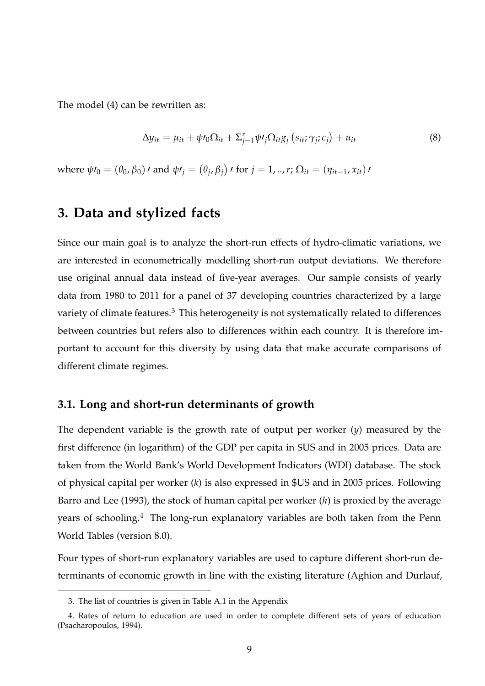The model (4) can be rewritten as:

$$
\Delta y_{it} = \mu_{it} + \psi \prime_0 \Omega_{it} + \Sigma_{j=1}^r \psi \prime_j \Omega_{it} g_j \left( s_{it}; \gamma_j; c_j \right) + u_{it} \tag{8}
$$

*where*  $ψ*l*<sub>0</sub> = (θ<sub>0</sub>, β<sub>0</sub>)*l*$  and  $ψ*l*<sub>j</sub> = (θ<sub>j</sub>, β<sub>j</sub>)*l*$  for  $j = 1, ..., r$ ;  $Ω<sub>it</sub> = (η<sub>it-1</sub>, x<sub>it</sub>)*l*$ 

## **3. Data and stylized facts**

Since our main goal is to analyze the short-run effects of hydro-climatic variations, we are interested in econometrically modelling short-run output deviations. We therefore use original annual data instead of five-year averages. Our sample consists of yearly data from 1980 to 2011 for a panel of 37 developing countries characterized by a large variety of climate features.<sup>3</sup> This heterogeneity is not systematically related to differences between countries but refers also to differences within each country. It is therefore important to account for this diversity by using data that make accurate comparisons of different climate regimes.

#### **3.1. Long and short-run determinants of growth**

The dependent variable is the growth rate of output per worker (*y*) measured by the first difference (in logarithm) of the GDP per capita in \$US and in 2005 prices. Data are taken from the World Bank's World Development Indicators (WDI) database. The stock of physical capital per worker (*k*) is also expressed in \$US and in 2005 prices. Following Barro and Lee (1993), the stock of human capital per worker (*h*) is proxied by the average years of schooling.<sup>4</sup> The long-run explanatory variables are both taken from the Penn World Tables (version 8.0).

Four types of short-run explanatory variables are used to capture different short-run determinants of economic growth in line with the existing literature (Aghion and Durlauf,

<sup>3.</sup> The list of countries is given in Table A.1 in the Appendix

<sup>4.</sup> Rates of return to education are used in order to complete different sets of years of education (Psacharopoulos, 1994).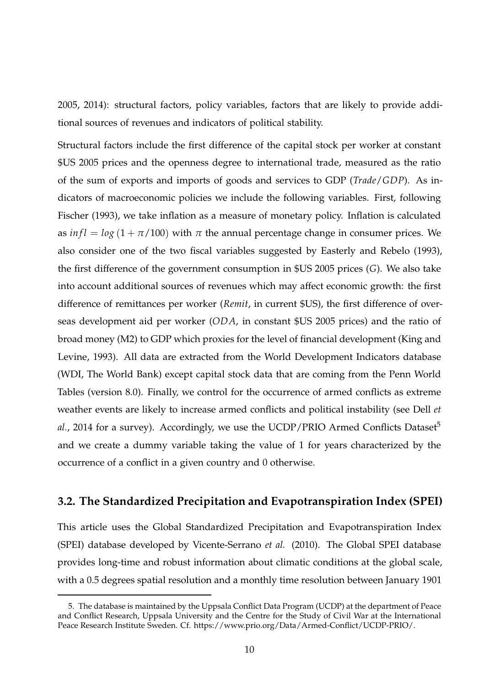2005, 2014): structural factors, policy variables, factors that are likely to provide additional sources of revenues and indicators of political stability.

Structural factors include the first difference of the capital stock per worker at constant \$US 2005 prices and the openness degree to international trade, measured as the ratio of the sum of exports and imports of goods and services to GDP (*Trade*/*GDP*). As indicators of macroeconomic policies we include the following variables. First, following Fischer (1993), we take inflation as a measure of monetary policy. Inflation is calculated as  $\int \ln f = \log (1 + \pi/100)$  with  $\pi$  the annual percentage change in consumer prices. We also consider one of the two fiscal variables suggested by Easterly and Rebelo (1993), the first difference of the government consumption in \$US 2005 prices (*G*). We also take into account additional sources of revenues which may affect economic growth: the first difference of remittances per worker (*Remit*, in current \$US), the first difference of overseas development aid per worker (*ODA*, in constant \$US 2005 prices) and the ratio of broad money (M2) to GDP which proxies for the level of financial development (King and Levine, 1993). All data are extracted from the World Development Indicators database (WDI, The World Bank) except capital stock data that are coming from the Penn World Tables (version 8.0). Finally, we control for the occurrence of armed conflicts as extreme weather events are likely to increase armed conflicts and political instability (see Dell *et al.*, 2014 for a survey). Accordingly, we use the UCDP/PRIO Armed Conflicts Dataset<sup>5</sup> and we create a dummy variable taking the value of 1 for years characterized by the occurrence of a conflict in a given country and 0 otherwise.

#### **3.2. The Standardized Precipitation and Evapotranspiration Index (SPEI)**

This article uses the Global Standardized Precipitation and Evapotranspiration Index (SPEI) database developed by Vicente-Serrano *et al.* (2010). The Global SPEI database provides long-time and robust information about climatic conditions at the global scale, with a 0.5 degrees spatial resolution and a monthly time resolution between January 1901

<sup>5.</sup> The database is maintained by the Uppsala Conflict Data Program (UCDP) at the department of Peace and Conflict Research, Uppsala University and the Centre for the Study of Civil War at the International Peace Research Institute Sweden. Cf. https://www.prio.org/Data/Armed-Conflict/UCDP-PRIO/.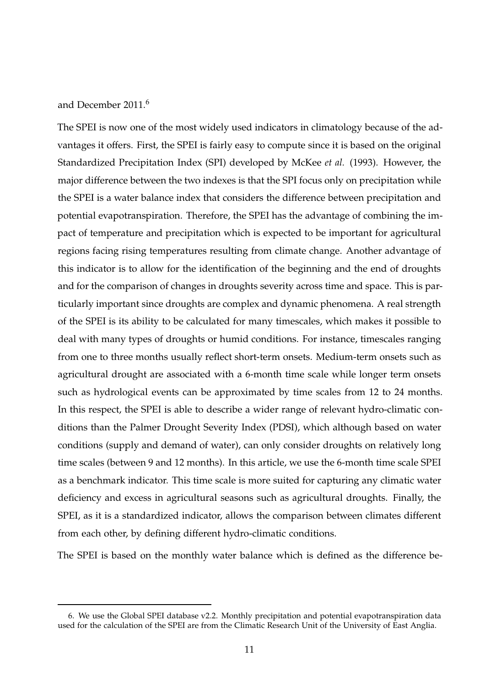#### and December 2011.<sup>6</sup>

The SPEI is now one of the most widely used indicators in climatology because of the advantages it offers. First, the SPEI is fairly easy to compute since it is based on the original Standardized Precipitation Index (SPI) developed by McKee *et al.* (1993). However, the major difference between the two indexes is that the SPI focus only on precipitation while the SPEI is a water balance index that considers the difference between precipitation and potential evapotranspiration. Therefore, the SPEI has the advantage of combining the impact of temperature and precipitation which is expected to be important for agricultural regions facing rising temperatures resulting from climate change. Another advantage of this indicator is to allow for the identification of the beginning and the end of droughts and for the comparison of changes in droughts severity across time and space. This is particularly important since droughts are complex and dynamic phenomena. A real strength of the SPEI is its ability to be calculated for many timescales, which makes it possible to deal with many types of droughts or humid conditions. For instance, timescales ranging from one to three months usually reflect short-term onsets. Medium-term onsets such as agricultural drought are associated with a 6-month time scale while longer term onsets such as hydrological events can be approximated by time scales from 12 to 24 months. In this respect, the SPEI is able to describe a wider range of relevant hydro-climatic conditions than the Palmer Drought Severity Index (PDSI), which although based on water conditions (supply and demand of water), can only consider droughts on relatively long time scales (between 9 and 12 months). In this article, we use the 6-month time scale SPEI as a benchmark indicator. This time scale is more suited for capturing any climatic water deficiency and excess in agricultural seasons such as agricultural droughts. Finally, the SPEI, as it is a standardized indicator, allows the comparison between climates different from each other, by defining different hydro-climatic conditions.

The SPEI is based on the monthly water balance which is defined as the difference be-

<sup>6.</sup> We use the Global SPEI database v2.2. Monthly precipitation and potential evapotranspiration data used for the calculation of the SPEI are from the Climatic Research Unit of the University of East Anglia.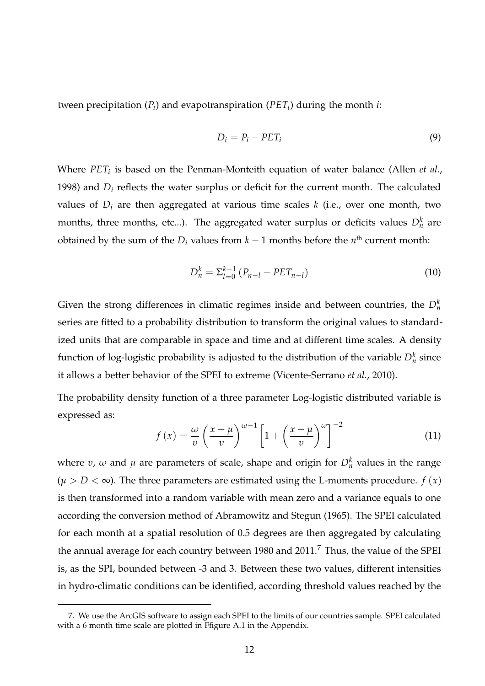tween precipitation (*P<sup>i</sup>* ) and evapotranspiration (*PET<sup>i</sup>* ) during the month *i*:

$$
D_i = P_i - PET_i \tag{9}
$$

Where *PET<sup>i</sup>* is based on the Penman-Monteith equation of water balance (Allen *et al.*, 1998) and  $D_i$  reflects the water surplus or deficit for the current month. The calculated values of  $D_i$  are then aggregated at various time scales  $k$  (i.e., over one month, two months, three months, etc...). The aggregated water surplus or deficits values  $D_n^k$  are obtained by the sum of the  $D_i$  values from  $k-1$  months before the  $n<sup>th</sup>$  current month:

$$
D_n^k = \sum_{l=0}^{k-1} (P_{n-l} - PET_{n-l})
$$
\n(10)

Given the strong differences in climatic regimes inside and between countries, the  $D_n^k$ series are fitted to a probability distribution to transform the original values to standardized units that are comparable in space and time and at different time scales. A density function of log-logistic probability is adjusted to the distribution of the variable  $D_n^k$  since it allows a better behavior of the SPEI to extreme (Vicente-Serrano *et al.*, 2010).

The probability density function of a three parameter Log-logistic distributed variable is expressed as:

$$
f(x) = \frac{\omega}{v} \left(\frac{x-\mu}{v}\right)^{\omega-1} \left[1 + \left(\frac{x-\mu}{v}\right)^{\omega}\right]^{-2}
$$
 (11)

where  $v$ ,  $\omega$  and  $\mu$  are parameters of scale, shape and origin for  $D_n^k$  values in the range  $(\mu > D < \infty)$ . The three parameters are estimated using the L-moments procedure.  $f(x)$ is then transformed into a random variable with mean zero and a variance equals to one according the conversion method of Abramowitz and Stegun (1965). The SPEI calculated for each month at a spatial resolution of 0.5 degrees are then aggregated by calculating the annual average for each country between 1980 and  $2011$ .<sup>7</sup> Thus, the value of the SPEI is, as the SPI, bounded between -3 and 3. Between these two values, different intensities in hydro-climatic conditions can be identified, according threshold values reached by the

<sup>7.</sup> We use the ArcGIS software to assign each SPEI to the limits of our countries sample. SPEI calculated with a 6 month time scale are plotted in Ffigure A.1 in the Appendix.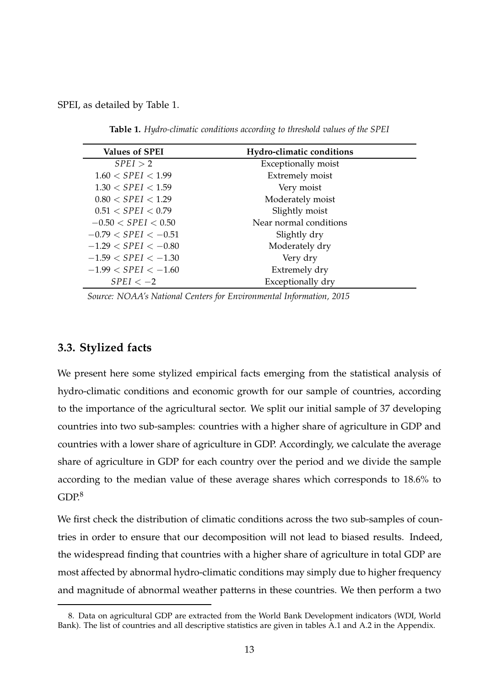SPEI, as detailed by Table 1.

| <b>Values of SPEI</b>   | <b>Hydro-climatic conditions</b> |  |
|-------------------------|----------------------------------|--|
| SPEI > 2                | Exceptionally moist              |  |
| $1.60 <$ SPEI $< 1.99$  | <b>Extremely moist</b>           |  |
| $1.30 <$ SPEI $< 1.59$  | Very moist                       |  |
| $0.80 <$ SPEI $< 1.29$  | Moderately moist                 |  |
| 0.51 < SPEI < 0.79      | Slightly moist                   |  |
| $-0.50 < SPEI < 0.50$   | Near normal conditions           |  |
| $-0.79 <$ SPEI $<-0.51$ | Slightly dry                     |  |
| $-1.29 <$ SPEI $<-0.80$ | Moderately dry                   |  |
| $-1.59 < SPEI < -1.30$  | Very dry                         |  |
| $-1.99 <$ SPEI $<-1.60$ | Extremely dry                    |  |
| $SPEI < -2$             | Exceptionally dry                |  |

**Table 1.** *Hydro-climatic conditions according to threshold values of the SPEI*

*Source: NOAA's National Centers for Environmental Information, 2015*

#### **3.3. Stylized facts**

We present here some stylized empirical facts emerging from the statistical analysis of hydro-climatic conditions and economic growth for our sample of countries, according to the importance of the agricultural sector. We split our initial sample of 37 developing countries into two sub-samples: countries with a higher share of agriculture in GDP and countries with a lower share of agriculture in GDP. Accordingly, we calculate the average share of agriculture in GDP for each country over the period and we divide the sample according to the median value of these average shares which corresponds to 18.6% to  $GDP<sup>8</sup>$ 

We first check the distribution of climatic conditions across the two sub-samples of countries in order to ensure that our decomposition will not lead to biased results. Indeed, the widespread finding that countries with a higher share of agriculture in total GDP are most affected by abnormal hydro-climatic conditions may simply due to higher frequency and magnitude of abnormal weather patterns in these countries. We then perform a two

<sup>8.</sup> Data on agricultural GDP are extracted from the World Bank Development indicators (WDI, World Bank). The list of countries and all descriptive statistics are given in tables A.1 and A.2 in the Appendix.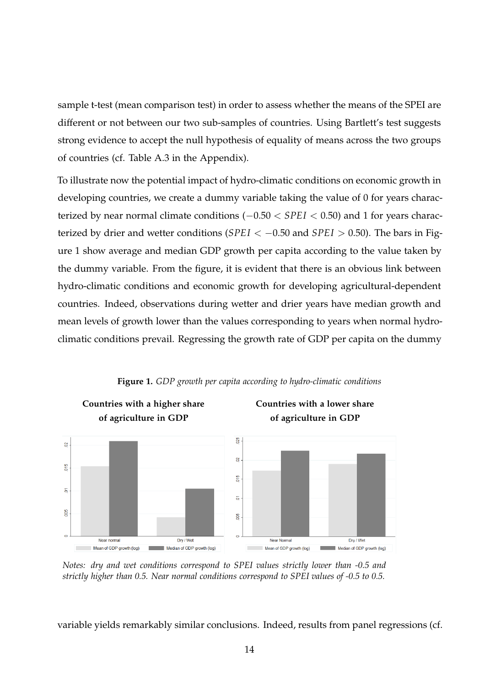sample t-test (mean comparison test) in order to assess whether the means of the SPEI are different or not between our two sub-samples of countries. Using Bartlett's test suggests strong evidence to accept the null hypothesis of equality of means across the two groups of countries (cf. Table A.3 in the Appendix).

To illustrate now the potential impact of hydro-climatic conditions on economic growth in developing countries, we create a dummy variable taking the value of 0 for years characterized by near normal climate conditions (−0.50 < *SPEI* < 0.50) and 1 for years characterized by drier and wetter conditions (*SPEI* < −0.50 and *SPEI* > 0.50). The bars in Figure 1 show average and median GDP growth per capita according to the value taken by the dummy variable. From the figure, it is evident that there is an obvious link between hydro-climatic conditions and economic growth for developing agricultural-dependent countries. Indeed, observations during wetter and drier years have median growth and mean levels of growth lower than the values corresponding to years when normal hydroclimatic conditions prevail. Regressing the growth rate of GDP per capita on the dummy



**Figure 1.** *GDP growth per capita according to hydro-climatic conditions*

*Notes: dry and wet conditions correspond to SPEI values strictly lower than -0.5 and strictly higher than 0.5. Near normal conditions correspond to SPEI values of -0.5 to 0.5.*

variable yields remarkably similar conclusions. Indeed, results from panel regressions (cf.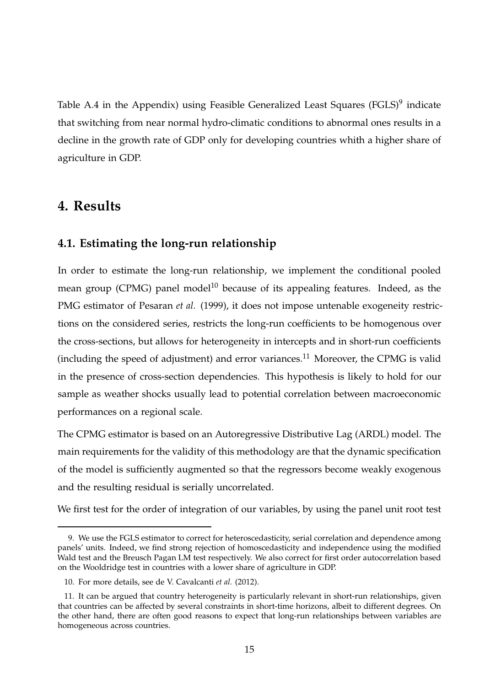Table A.4 in the Appendix) using Feasible Generalized Least Squares (FGLS)<sup>9</sup> indicate that switching from near normal hydro-climatic conditions to abnormal ones results in a decline in the growth rate of GDP only for developing countries whith a higher share of agriculture in GDP.

## **4. Results**

#### **4.1. Estimating the long-run relationship**

In order to estimate the long-run relationship, we implement the conditional pooled mean group (CPMG) panel model<sup>10</sup> because of its appealing features. Indeed, as the PMG estimator of Pesaran *et al.* (1999), it does not impose untenable exogeneity restrictions on the considered series, restricts the long-run coefficients to be homogenous over the cross-sections, but allows for heterogeneity in intercepts and in short-run coefficients (including the speed of adjustment) and error variances.<sup>11</sup> Moreover, the CPMG is valid in the presence of cross-section dependencies. This hypothesis is likely to hold for our sample as weather shocks usually lead to potential correlation between macroeconomic performances on a regional scale.

The CPMG estimator is based on an Autoregressive Distributive Lag (ARDL) model. The main requirements for the validity of this methodology are that the dynamic specification of the model is sufficiently augmented so that the regressors become weakly exogenous and the resulting residual is serially uncorrelated.

We first test for the order of integration of our variables, by using the panel unit root test

<sup>9.</sup> We use the FGLS estimator to correct for heteroscedasticity, serial correlation and dependence among panels' units. Indeed, we find strong rejection of homoscedasticity and independence using the modified Wald test and the Breusch Pagan LM test respectively. We also correct for first order autocorrelation based on the Wooldridge test in countries with a lower share of agriculture in GDP.

<sup>10.</sup> For more details, see de V. Cavalcanti *et al.* (2012).

<sup>11.</sup> It can be argued that country heterogeneity is particularly relevant in short-run relationships, given that countries can be affected by several constraints in short-time horizons, albeit to different degrees. On the other hand, there are often good reasons to expect that long-run relationships between variables are homogeneous across countries.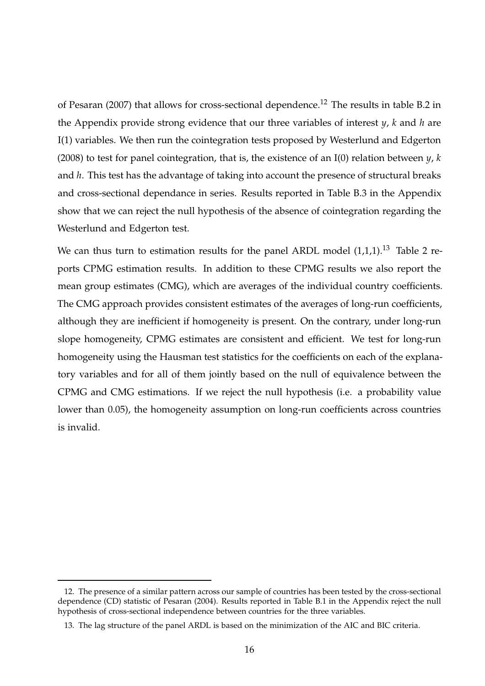of Pesaran (2007) that allows for cross-sectional dependence.<sup>12</sup> The results in table B.2 in the Appendix provide strong evidence that our three variables of interest *y*, *k* and *h* are I(1) variables. We then run the cointegration tests proposed by Westerlund and Edgerton (2008) to test for panel cointegration, that is, the existence of an I(0) relation between *y*, *k* and *h*. This test has the advantage of taking into account the presence of structural breaks and cross-sectional dependance in series. Results reported in Table B.3 in the Appendix show that we can reject the null hypothesis of the absence of cointegration regarding the Westerlund and Edgerton test.

We can thus turn to estimation results for the panel ARDL model  $(1,1,1)$ .<sup>13</sup> Table 2 reports CPMG estimation results. In addition to these CPMG results we also report the mean group estimates (CMG), which are averages of the individual country coefficients. The CMG approach provides consistent estimates of the averages of long-run coefficients, although they are inefficient if homogeneity is present. On the contrary, under long-run slope homogeneity, CPMG estimates are consistent and efficient. We test for long-run homogeneity using the Hausman test statistics for the coefficients on each of the explanatory variables and for all of them jointly based on the null of equivalence between the CPMG and CMG estimations. If we reject the null hypothesis (i.e. a probability value lower than 0.05), the homogeneity assumption on long-run coefficients across countries is invalid.

<sup>12.</sup> The presence of a similar pattern across our sample of countries has been tested by the cross-sectional dependence (CD) statistic of Pesaran (2004). Results reported in Table B.1 in the Appendix reject the null hypothesis of cross-sectional independence between countries for the three variables.

<sup>13.</sup> The lag structure of the panel ARDL is based on the minimization of the AIC and BIC criteria.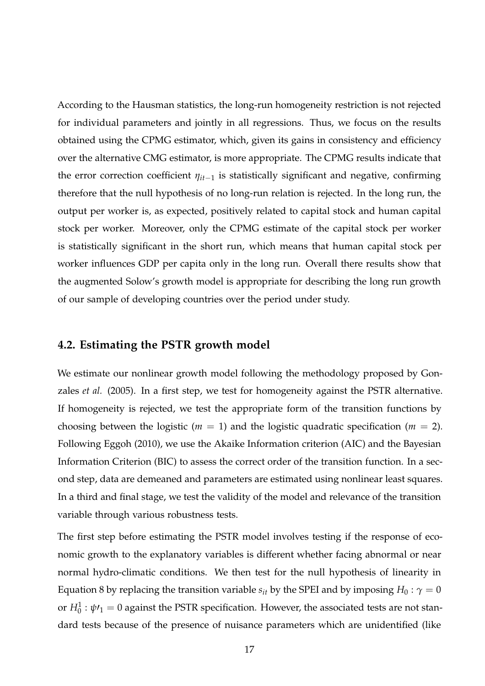According to the Hausman statistics, the long-run homogeneity restriction is not rejected for individual parameters and jointly in all regressions. Thus, we focus on the results obtained using the CPMG estimator, which, given its gains in consistency and efficiency over the alternative CMG estimator, is more appropriate. The CPMG results indicate that the error correction coefficient *ηit*−<sup>1</sup> is statistically significant and negative, confirming therefore that the null hypothesis of no long-run relation is rejected. In the long run, the output per worker is, as expected, positively related to capital stock and human capital stock per worker. Moreover, only the CPMG estimate of the capital stock per worker is statistically significant in the short run, which means that human capital stock per worker influences GDP per capita only in the long run. Overall there results show that the augmented Solow's growth model is appropriate for describing the long run growth of our sample of developing countries over the period under study.

#### **4.2. Estimating the PSTR growth model**

We estimate our nonlinear growth model following the methodology proposed by Gonzales *et al.* (2005). In a first step, we test for homogeneity against the PSTR alternative. If homogeneity is rejected, we test the appropriate form of the transition functions by choosing between the logistic ( $m = 1$ ) and the logistic quadratic specification ( $m = 2$ ). Following Eggoh (2010), we use the Akaike Information criterion (AIC) and the Bayesian Information Criterion (BIC) to assess the correct order of the transition function. In a second step, data are demeaned and parameters are estimated using nonlinear least squares. In a third and final stage, we test the validity of the model and relevance of the transition variable through various robustness tests.

The first step before estimating the PSTR model involves testing if the response of economic growth to the explanatory variables is different whether facing abnormal or near normal hydro-climatic conditions. We then test for the null hypothesis of linearity in Equation 8 by replacing the transition variable  $s_{it}$  by the SPEI and by imposing  $H_0: \gamma = 0$ or  $H_0^1$  :  $\psi\prime_1=0$  against the PSTR specification. However, the associated tests are not standard tests because of the presence of nuisance parameters which are unidentified (like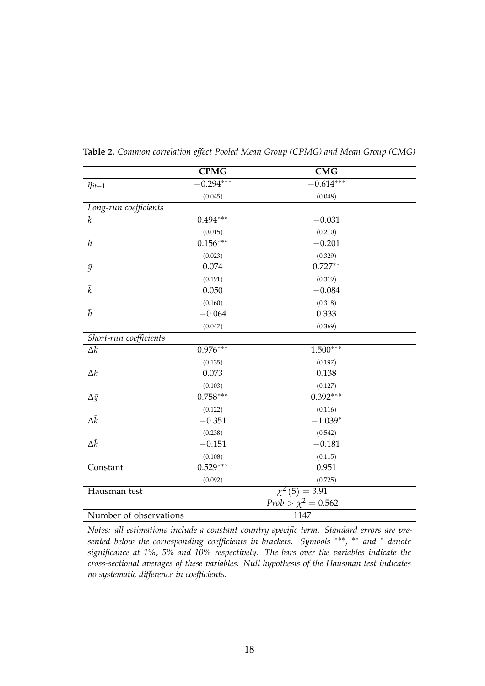|                        | <b>CPMG</b> | <b>CMG</b>              |
|------------------------|-------------|-------------------------|
| $\eta_{it-1}$          | $0.294***$  | $-0.614***$             |
|                        | (0.045)     | (0.048)                 |
| Long-run coefficients  |             |                         |
| $\boldsymbol{k}$       | $0.494***$  | $-0.031$                |
|                        | (0.015)     | (0.210)                 |
| $\boldsymbol{h}$       | $0.156***$  | $-0.201$                |
|                        | (0.023)     | (0.329)                 |
| $\bar{y}$              | 0.074       | $0.727**$               |
|                        | (0.191)     | (0.319)                 |
| $\bar{k}$              | 0.050       | $-0.084$                |
|                        | (0.160)     | (0.318)                 |
| $\bar{h}$              | $-0.064$    | 0.333                   |
|                        | (0.047)     | (0.369)                 |
| Short-run coefficients |             |                         |
| $\Delta k$             | $0.976***$  | $1.500***$              |
|                        | (0.135)     | (0.197)                 |
| $\Delta h$             | 0.073       | 0.138                   |
|                        | (0.103)     | (0.127)                 |
| $\Delta \bar{y}$       | $0.758***$  | $0.392***$              |
|                        | (0.122)     | (0.116)                 |
| $\Delta \bar{k}$       | $-0.351$    | $-1.039*$               |
|                        | (0.238)     | (0.542)                 |
| $\Delta \bar{h}$       | $-0.151$    | $-0.181$                |
|                        | (0.108)     | (0.115)                 |
| Constant               | $0.529***$  | 0.951                   |
|                        | (0.092)     | (0.725)                 |
| Hausman test           |             | $\chi^2$ (5) = 3.91     |
|                        |             | $Prob > \chi^2 = 0.562$ |
| Number of observations |             | 1147                    |

**Table 2.** *Common correlation effect Pooled Mean Group (CPMG) and Mean Group (CMG)*

*Notes: all estimations include a constant country specific term. Standard errors are presented below the corresponding coefficients in brackets. Symbols* ∗∗∗ *,* ∗∗ *and* <sup>∗</sup> *denote significance at 1%, 5% and 10% respectively. The bars over the variables indicate the cross-sectional averages of these variables. Null hypothesis of the Hausman test indicates no systematic difference in coefficients.*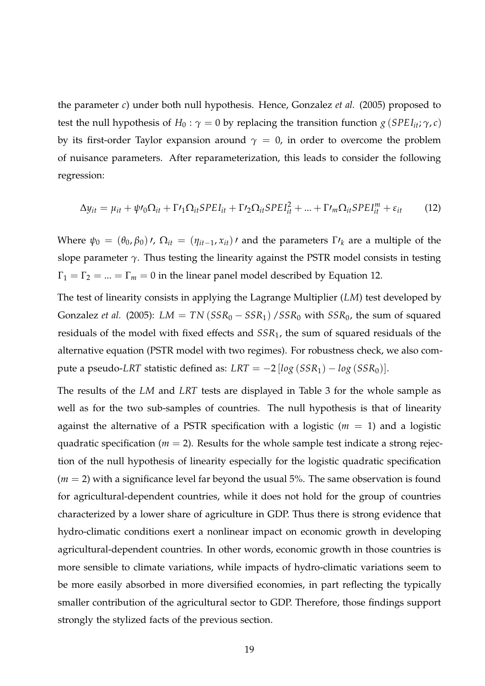the parameter *c*) under both null hypothesis. Hence, Gonzalez *et al.* (2005) proposed to test the null hypothesis of  $H_0: \gamma = 0$  by replacing the transition function  $g(SPEI_{it}; \gamma, c)$ by its first-order Taylor expansion around  $\gamma = 0$ , in order to overcome the problem of nuisance parameters. After reparameterization, this leads to consider the following regression:

$$
\Delta y_{it} = \mu_{it} + \psi t_0 \Omega_{it} + \Gamma t_1 \Omega_{it} SPE I_{it} + \Gamma t_2 \Omega_{it} SPE I_{it}^2 + ... + \Gamma t_m \Omega_{it} SPE I_{it}^m + \varepsilon_{it}
$$
(12)

Where  $\psi_0 = (\theta_0, \beta_0)$ *'*,  $\Omega_{it} = (\eta_{it-1}, x_{it})$ *'* and the parameters  $\Gamma'$ <sub>k</sub> are a multiple of the slope parameter  $\gamma$ . Thus testing the linearity against the PSTR model consists in testing  $\Gamma_1 = \Gamma_2 = ... = \Gamma_m = 0$  in the linear panel model described by Equation 12.

The test of linearity consists in applying the Lagrange Multiplier (*LM*) test developed by Gonzalez *et al.* (2005):  $LM = TN(SSR_0 - SSR_1)/SSR_0$  with  $SSR_0$ , the sum of squared residuals of the model with fixed effects and *SSR*1, the sum of squared residuals of the alternative equation (PSTR model with two regimes). For robustness check, we also compute a pseudo-*LRT* statistic defined as:  $LRT = -2 \left[ \log (SSR_1) - \log (SSR_0) \right]$ .

The results of the *LM* and *LRT* tests are displayed in Table 3 for the whole sample as well as for the two sub-samples of countries. The null hypothesis is that of linearity against the alternative of a PSTR specification with a logistic  $(m = 1)$  and a logistic quadratic specification ( $m = 2$ ). Results for the whole sample test indicate a strong rejection of the null hypothesis of linearity especially for the logistic quadratic specification  $(m = 2)$  with a significance level far beyond the usual 5%. The same observation is found for agricultural-dependent countries, while it does not hold for the group of countries characterized by a lower share of agriculture in GDP. Thus there is strong evidence that hydro-climatic conditions exert a nonlinear impact on economic growth in developing agricultural-dependent countries. In other words, economic growth in those countries is more sensible to climate variations, while impacts of hydro-climatic variations seem to be more easily absorbed in more diversified economies, in part reflecting the typically smaller contribution of the agricultural sector to GDP. Therefore, those findings support strongly the stylized facts of the previous section.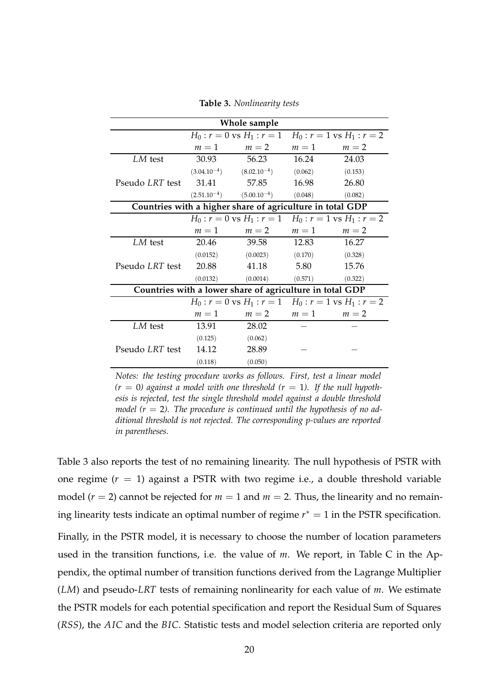|                 | Whole sample |                                                           |         |                                                           |  |  |
|-----------------|--------------|-----------------------------------------------------------|---------|-----------------------------------------------------------|--|--|
|                 |              |                                                           |         | $H_0: r = 0$ vs $H_1: r = 1$ $H_0: r = 1$ vs $H_1: r = 2$ |  |  |
|                 | $m=1$        | $m=2$                                                     | $m=1$   | $m=2$                                                     |  |  |
| LM test         | 30.93        | 56.23                                                     | 16.24   | 24.03                                                     |  |  |
|                 |              | $(3.04.10^{-4})$ $(8.02.10^{-4})$                         | (0.062) | (0.153)                                                   |  |  |
| Pseudo LRT test | 31.41        | 57.85                                                     | 16.98   | 26.80                                                     |  |  |
|                 |              | $(2.51.10^{-4})$ $(5.00.10^{-4})$                         | (0.048) | (0.082)                                                   |  |  |
|                 |              | Countries with a higher share of agriculture in total GDP |         |                                                           |  |  |
|                 |              |                                                           |         | $H_0: r = 0$ vs $H_1: r = 1$ $H_0: r = 1$ vs $H_1: r = 2$ |  |  |
|                 | $m=1$        | $m=2$                                                     | $m=1$   | $m=2$                                                     |  |  |
| LM test         | 20.46        | 39.58                                                     | 12.83   | 16.27                                                     |  |  |
|                 | (0.0152)     | (0.0023)                                                  | (0.170) | (0.328)                                                   |  |  |
| Pseudo LRT test | 20.88        | 41.18                                                     | 5.80    | 15.76                                                     |  |  |
|                 | (0.0132)     | (0.0014)                                                  | (0.571) | (0.322)                                                   |  |  |
|                 |              | Countries with a lower share of agriculture in total GDP  |         |                                                           |  |  |
|                 |              |                                                           |         | $H_0: r = 0$ vs $H_1: r = 1$ $H_0: r = 1$ vs $H_1: r = 2$ |  |  |
|                 | $m=1$        | $m=2$ $m=1$                                               |         | $m=2$                                                     |  |  |
| LM test         | 13.91        | 28.02                                                     |         |                                                           |  |  |
|                 | (0.125)      | (0.062)                                                   |         |                                                           |  |  |
| Pseudo LRT test | 14.12        | 28.89                                                     |         |                                                           |  |  |
|                 | (0.118)      | (0.050)                                                   |         |                                                           |  |  |

**Table 3.** *Nonlinearity tests*

*Notes: the testing procedure works as follows. First, test a linear model*  $(r = 0)$  against a model with one threshold  $(r = 1)$ . If the null hypoth*esis is rejected, test the single threshold model against a double threshold model (r* = 2*). The procedure is continued until the hypothesis of no additional threshold is not rejected. The corresponding p-values are reported in parentheses.*

Table 3 also reports the test of no remaining linearity. The null hypothesis of PSTR with one regime  $(r = 1)$  against a PSTR with two regime i.e., a double threshold variable model ( $r = 2$ ) cannot be rejected for  $m = 1$  and  $m = 2$ . Thus, the linearity and no remaining linearity tests indicate an optimal number of regime  $r^* = 1$  in the PSTR specification. Finally, in the PSTR model, it is necessary to choose the number of location parameters used in the transition functions, i.e. the value of *m*. We report, in Table C in the Appendix, the optimal number of transition functions derived from the Lagrange Multiplier (*LM*) and pseudo-*LRT* tests of remaining nonlinearity for each value of *m*. We estimate the PSTR models for each potential specification and report the Residual Sum of Squares (*RSS*), the *AIC* and the *BIC*. Statistic tests and model selection criteria are reported only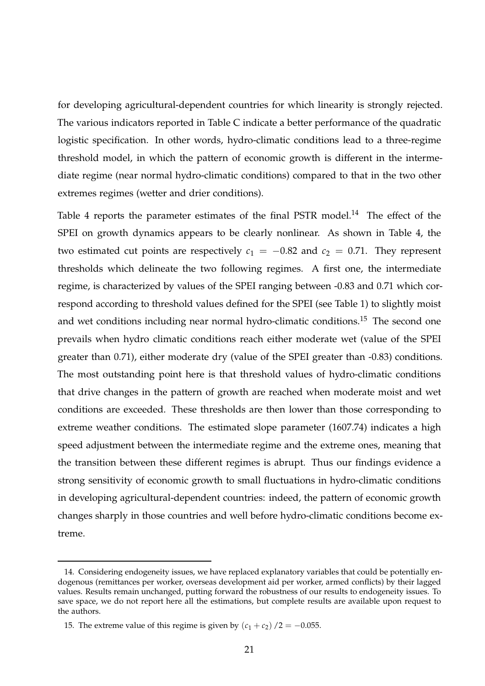for developing agricultural-dependent countries for which linearity is strongly rejected. The various indicators reported in Table C indicate a better performance of the quadratic logistic specification. In other words, hydro-climatic conditions lead to a three-regime threshold model, in which the pattern of economic growth is different in the intermediate regime (near normal hydro-climatic conditions) compared to that in the two other extremes regimes (wetter and drier conditions).

Table 4 reports the parameter estimates of the final PSTR model.<sup>14</sup> The effect of the SPEI on growth dynamics appears to be clearly nonlinear. As shown in Table 4, the two estimated cut points are respectively  $c_1 = -0.82$  and  $c_2 = 0.71$ . They represent thresholds which delineate the two following regimes. A first one, the intermediate regime, is characterized by values of the SPEI ranging between -0.83 and 0.71 which correspond according to threshold values defined for the SPEI (see Table 1) to slightly moist and wet conditions including near normal hydro-climatic conditions.<sup>15</sup> The second one prevails when hydro climatic conditions reach either moderate wet (value of the SPEI greater than 0.71), either moderate dry (value of the SPEI greater than -0.83) conditions. The most outstanding point here is that threshold values of hydro-climatic conditions that drive changes in the pattern of growth are reached when moderate moist and wet conditions are exceeded. These thresholds are then lower than those corresponding to extreme weather conditions. The estimated slope parameter (1607.74) indicates a high speed adjustment between the intermediate regime and the extreme ones, meaning that the transition between these different regimes is abrupt. Thus our findings evidence a strong sensitivity of economic growth to small fluctuations in hydro-climatic conditions in developing agricultural-dependent countries: indeed, the pattern of economic growth changes sharply in those countries and well before hydro-climatic conditions become extreme.

<sup>14.</sup> Considering endogeneity issues, we have replaced explanatory variables that could be potentially endogenous (remittances per worker, overseas development aid per worker, armed conflicts) by their lagged values. Results remain unchanged, putting forward the robustness of our results to endogeneity issues. To save space, we do not report here all the estimations, but complete results are available upon request to the authors.

<sup>15.</sup> The extreme value of this regime is given by  $(c_1 + c_2) / 2 = -0.055$ .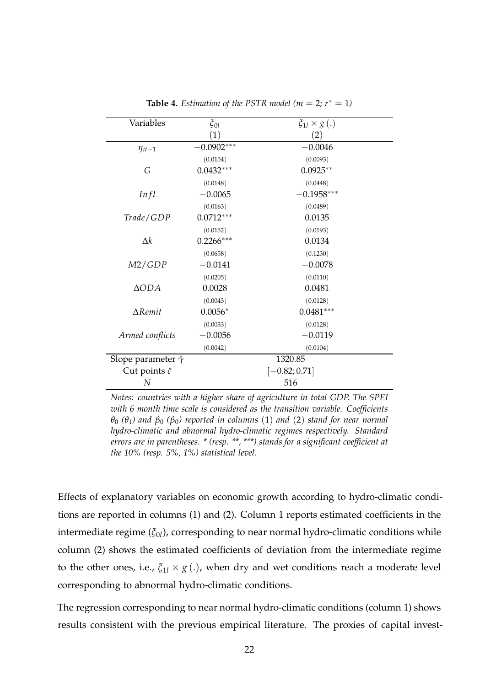| Variables                      | $\xi_{0l}$      | $\xi_{1l}\times g(.)$ |  |
|--------------------------------|-----------------|-----------------------|--|
|                                | (1)             | (2)                   |  |
| $\eta_{it-1}$                  | $-0.0902***$    | $-0.0046$             |  |
|                                | (0.0154)        | (0.0093)              |  |
| G                              | $0.0432***$     | $0.0925**$            |  |
|                                | (0.0148)        | (0.0448)              |  |
| Infl                           | $-0.0065$       | $-0.1958***$          |  |
|                                | (0.0163)        | (0.0489)              |  |
| Trade/GDP                      | $0.0712***$     | 0.0135                |  |
|                                | (0.0152)        | (0.0193)              |  |
| $\Delta k$                     | $0.2266***$     | 0.0134                |  |
|                                | (0.0658)        | (0.1230)              |  |
| M2/GDP                         | $-0.0141$       | $-0.0078$             |  |
|                                | (0.0205)        | (0.0110)              |  |
| $\triangle ODA$                | 0.0028          | 0.0481                |  |
|                                | (0.0043)        | (0.0128)              |  |
| $\Delta$ Remit                 | $0.0056*$       | $0.0481***$           |  |
|                                | (0.0033)        | (0.0128)              |  |
| Armed conflicts                | $-0.0056$       | $-0.0119$             |  |
|                                | (0.0042)        | (0.0104)              |  |
| Slope parameter $\hat{\gamma}$ |                 | 1320.85               |  |
| Cut points $\hat{c}$           | $[-0.82; 0.71]$ |                       |  |
| N                              |                 | 516                   |  |

**Table 4.** *Estimation of the PSTR model* ( $m = 2$ ;  $r^* = 1$ )

*Notes: countries with a higher share of agriculture in total GDP. The SPEI with 6 month time scale is considered as the transition variable. Coefficients θ*<sup>0</sup> *(θ*1*) and β*<sup>0</sup> *(β*0*) reported in columns* (1) *and* (2) *stand for near normal hydro-climatic and abnormal hydro-climatic regimes respectively. Standard errors are in parentheses. \* (resp. \*\*, \*\*\*) stands for a significant coefficient at the 10% (resp. 5%, 1%) statistical level.*

Effects of explanatory variables on economic growth according to hydro-climatic conditions are reported in columns (1) and (2). Column 1 reports estimated coefficients in the intermediate regime (*ξ*0*<sup>l</sup>* ), corresponding to near normal hydro-climatic conditions while column (2) shows the estimated coefficients of deviation from the intermediate regime to the other ones, i.e.,  $\xi_{1l} \times g(.)$ , when dry and wet conditions reach a moderate level corresponding to abnormal hydro-climatic conditions.

The regression corresponding to near normal hydro-climatic conditions (column 1) shows results consistent with the previous empirical literature. The proxies of capital invest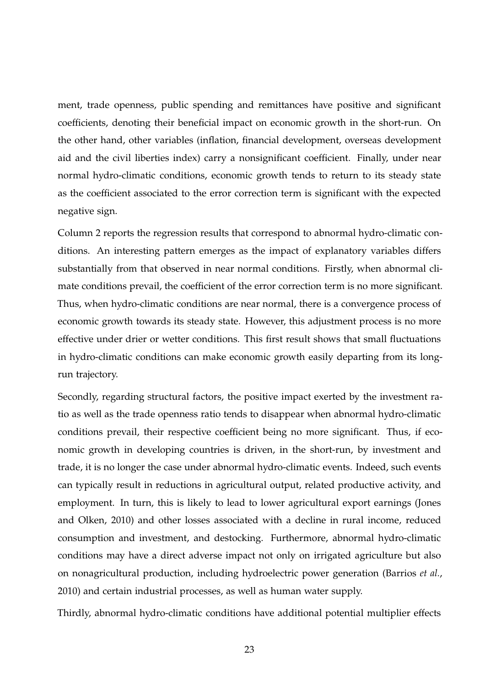ment, trade openness, public spending and remittances have positive and significant coefficients, denoting their beneficial impact on economic growth in the short-run. On the other hand, other variables (inflation, financial development, overseas development aid and the civil liberties index) carry a nonsignificant coefficient. Finally, under near normal hydro-climatic conditions, economic growth tends to return to its steady state as the coefficient associated to the error correction term is significant with the expected negative sign.

Column 2 reports the regression results that correspond to abnormal hydro-climatic conditions. An interesting pattern emerges as the impact of explanatory variables differs substantially from that observed in near normal conditions. Firstly, when abnormal climate conditions prevail, the coefficient of the error correction term is no more significant. Thus, when hydro-climatic conditions are near normal, there is a convergence process of economic growth towards its steady state. However, this adjustment process is no more effective under drier or wetter conditions. This first result shows that small fluctuations in hydro-climatic conditions can make economic growth easily departing from its longrun trajectory.

Secondly, regarding structural factors, the positive impact exerted by the investment ratio as well as the trade openness ratio tends to disappear when abnormal hydro-climatic conditions prevail, their respective coefficient being no more significant. Thus, if economic growth in developing countries is driven, in the short-run, by investment and trade, it is no longer the case under abnormal hydro-climatic events. Indeed, such events can typically result in reductions in agricultural output, related productive activity, and employment. In turn, this is likely to lead to lower agricultural export earnings (Jones and Olken, 2010) and other losses associated with a decline in rural income, reduced consumption and investment, and destocking. Furthermore, abnormal hydro-climatic conditions may have a direct adverse impact not only on irrigated agriculture but also on nonagricultural production, including hydroelectric power generation (Barrios *et al.*, 2010) and certain industrial processes, as well as human water supply.

Thirdly, abnormal hydro-climatic conditions have additional potential multiplier effects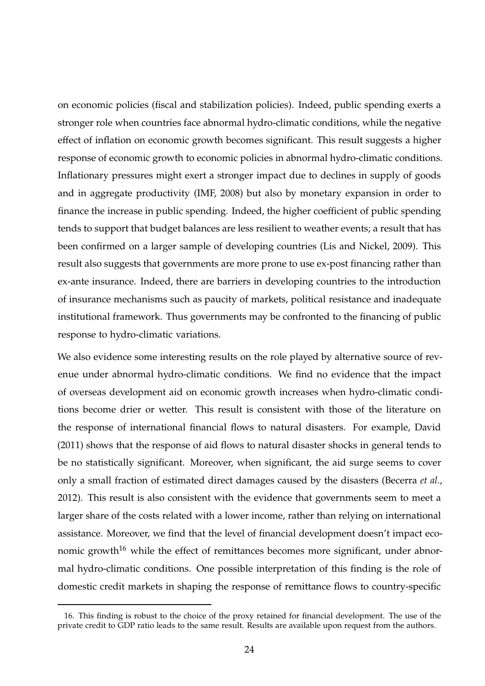on economic policies (fiscal and stabilization policies). Indeed, public spending exerts a stronger role when countries face abnormal hydro-climatic conditions, while the negative effect of inflation on economic growth becomes significant. This result suggests a higher response of economic growth to economic policies in abnormal hydro-climatic conditions. Inflationary pressures might exert a stronger impact due to declines in supply of goods and in aggregate productivity (IMF, 2008) but also by monetary expansion in order to finance the increase in public spending. Indeed, the higher coefficient of public spending tends to support that budget balances are less resilient to weather events; a result that has been confirmed on a larger sample of developing countries (Lis and Nickel, 2009). This result also suggests that governments are more prone to use ex-post financing rather than ex-ante insurance. Indeed, there are barriers in developing countries to the introduction of insurance mechanisms such as paucity of markets, political resistance and inadequate institutional framework. Thus governments may be confronted to the financing of public response to hydro-climatic variations.

We also evidence some interesting results on the role played by alternative source of revenue under abnormal hydro-climatic conditions. We find no evidence that the impact of overseas development aid on economic growth increases when hydro-climatic conditions become drier or wetter. This result is consistent with those of the literature on the response of international financial flows to natural disasters. For example, David (2011) shows that the response of aid flows to natural disaster shocks in general tends to be no statistically significant. Moreover, when significant, the aid surge seems to cover only a small fraction of estimated direct damages caused by the disasters (Becerra *et al.*, 2012). This result is also consistent with the evidence that governments seem to meet a larger share of the costs related with a lower income, rather than relying on international assistance. Moreover, we find that the level of financial development doesn't impact economic growth<sup>16</sup> while the effect of remittances becomes more significant, under abnormal hydro-climatic conditions. One possible interpretation of this finding is the role of domestic credit markets in shaping the response of remittance flows to country-specific

<sup>16.</sup> This finding is robust to the choice of the proxy retained for financial development. The use of the private credit to GDP ratio leads to the same result. Results are available upon request from the authors.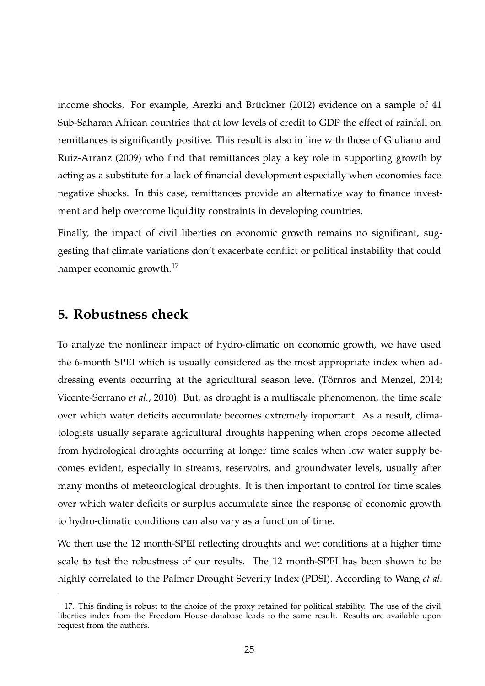income shocks. For example, Arezki and Brückner (2012) evidence on a sample of 41 Sub-Saharan African countries that at low levels of credit to GDP the effect of rainfall on remittances is significantly positive. This result is also in line with those of Giuliano and Ruiz-Arranz (2009) who find that remittances play a key role in supporting growth by acting as a substitute for a lack of financial development especially when economies face negative shocks. In this case, remittances provide an alternative way to finance investment and help overcome liquidity constraints in developing countries.

Finally, the impact of civil liberties on economic growth remains no significant, suggesting that climate variations don't exacerbate conflict or political instability that could hamper economic growth.<sup>17</sup>

## **5. Robustness check**

To analyze the nonlinear impact of hydro-climatic on economic growth, we have used the 6-month SPEI which is usually considered as the most appropriate index when addressing events occurring at the agricultural season level (Törnros and Menzel, 2014; Vicente-Serrano *et al.*, 2010). But, as drought is a multiscale phenomenon, the time scale over which water deficits accumulate becomes extremely important. As a result, climatologists usually separate agricultural droughts happening when crops become affected from hydrological droughts occurring at longer time scales when low water supply becomes evident, especially in streams, reservoirs, and groundwater levels, usually after many months of meteorological droughts. It is then important to control for time scales over which water deficits or surplus accumulate since the response of economic growth to hydro-climatic conditions can also vary as a function of time.

We then use the 12 month-SPEI reflecting droughts and wet conditions at a higher time scale to test the robustness of our results. The 12 month-SPEI has been shown to be highly correlated to the Palmer Drought Severity Index (PDSI). According to Wang *et al.*

<sup>17.</sup> This finding is robust to the choice of the proxy retained for political stability. The use of the civil liberties index from the Freedom House database leads to the same result. Results are available upon request from the authors.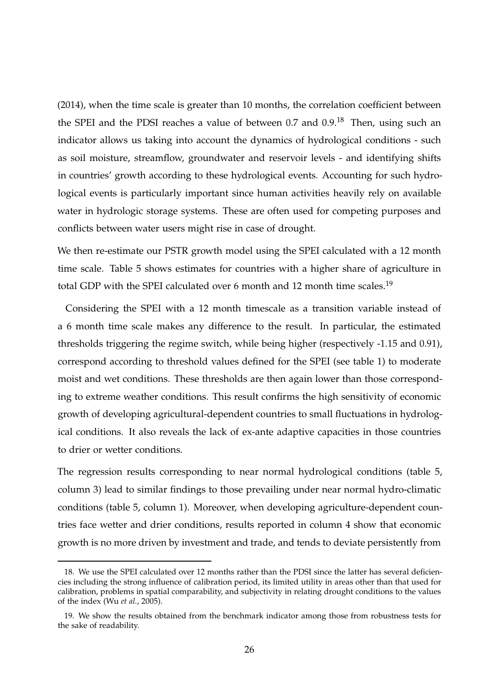(2014), when the time scale is greater than 10 months, the correlation coefficient between the SPEI and the PDSI reaches a value of between 0.7 and 0.9.<sup>18</sup> Then, using such an indicator allows us taking into account the dynamics of hydrological conditions - such as soil moisture, streamflow, groundwater and reservoir levels - and identifying shifts in countries' growth according to these hydrological events. Accounting for such hydrological events is particularly important since human activities heavily rely on available water in hydrologic storage systems. These are often used for competing purposes and conflicts between water users might rise in case of drought.

We then re-estimate our PSTR growth model using the SPEI calculated with a 12 month time scale. Table 5 shows estimates for countries with a higher share of agriculture in total GDP with the SPEI calculated over 6 month and 12 month time scales.<sup>19</sup>

Considering the SPEI with a 12 month timescale as a transition variable instead of a 6 month time scale makes any difference to the result. In particular, the estimated thresholds triggering the regime switch, while being higher (respectively -1.15 and 0.91), correspond according to threshold values defined for the SPEI (see table 1) to moderate moist and wet conditions. These thresholds are then again lower than those corresponding to extreme weather conditions. This result confirms the high sensitivity of economic growth of developing agricultural-dependent countries to small fluctuations in hydrological conditions. It also reveals the lack of ex-ante adaptive capacities in those countries to drier or wetter conditions.

The regression results corresponding to near normal hydrological conditions (table 5, column 3) lead to similar findings to those prevailing under near normal hydro-climatic conditions (table 5, column 1). Moreover, when developing agriculture-dependent countries face wetter and drier conditions, results reported in column 4 show that economic growth is no more driven by investment and trade, and tends to deviate persistently from

<sup>18.</sup> We use the SPEI calculated over 12 months rather than the PDSI since the latter has several deficiencies including the strong influence of calibration period, its limited utility in areas other than that used for calibration, problems in spatial comparability, and subjectivity in relating drought conditions to the values of the index (Wu *et al.*, 2005).

<sup>19.</sup> We show the results obtained from the benchmark indicator among those from robustness tests for the sake of readability.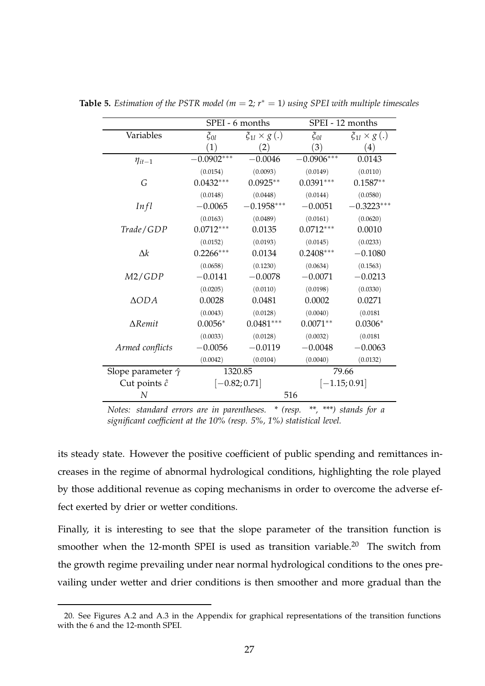|                                | SPEI - 6 months   |                        | SPEI - 12 months |                       |
|--------------------------------|-------------------|------------------------|------------------|-----------------------|
| Variables                      | $\xi_{0l}$        | $\xi_{1l} \times g(.)$ | $\xi_{0l}$       | $\xi_{1l}\times g(.)$ |
|                                | $\left( 1\right)$ | (2)                    | (3)              | $\left( 4\right)$     |
| $\eta_{it-1}$                  | $-0.0902***$      | $-0.0046$              | $-0.0906***$     | 0.0143                |
|                                | (0.0154)          | (0.0093)               | (0.0149)         | (0.0110)              |
| G                              | $0.0432***$       | $0.0925**$             | $0.0391***$      | $0.1587**$            |
|                                | (0.0148)          | (0.0448)               | (0.0144)         | (0.0580)              |
| Infl                           | $-0.0065$         | $-0.1958***$           | $-0.0051$        | $-0.3223***$          |
|                                | (0.0163)          | (0.0489)               | (0.0161)         | (0.0620)              |
| Trade/GDP                      | $0.0712***$       | 0.0135                 | $0.0712***$      | 0.0010                |
|                                | (0.0152)          | (0.0193)               | (0.0145)         | (0.0233)              |
| $\Delta k$                     | $0.2266***$       | 0.0134                 | $0.2408***$      | $-0.1080$             |
|                                | (0.0658)          | (0.1230)               | (0.0634)         | (0.1563)              |
| M2/GDP                         | $-0.0141$         | $-0.0078$              | $-0.0071$        | $-0.0213$             |
|                                | (0.0205)          | (0.0110)               | (0.0198)         | (0.0330)              |
| $\triangle ODA$                | 0.0028            | 0.0481                 | 0.0002           | 0.0271                |
|                                | (0.0043)          | (0.0128)               | (0.0040)         | (0.0181)              |
| $\Delta$ Remit                 | $0.0056*$         | $0.0481***$            | $0.0071**$       | $0.0306*$             |
|                                | (0.0033)          | (0.0128)               | (0.0032)         | (0.0181)              |
| Armed conflicts                | $-0.0056$         | $-0.0119$              | $-0.0048$        | $-0.0063$             |
|                                | (0.0042)          | (0.0104)               | (0.0040)         | (0.0132)              |
| Slope parameter $\hat{\gamma}$ | 1320.85           |                        | 79.66            |                       |
| Cut points $\hat{c}$           | $[-0.82; 0.71]$   |                        | $[-1.15; 0.91]$  |                       |
| N                              |                   | 516                    |                  |                       |

**Table 5.** *Estimation of the PSTR model* ( $m = 2$ ;  $r^* = 1$ ) using SPEI with multiple timescales

*Notes: standard errors are in parentheses. \* (resp. \*\*, \*\*\*) stands for a significant coefficient at the 10% (resp. 5%, 1%) statistical level.*

its steady state. However the positive coefficient of public spending and remittances increases in the regime of abnormal hydrological conditions, highlighting the role played by those additional revenue as coping mechanisms in order to overcome the adverse effect exerted by drier or wetter conditions.

Finally, it is interesting to see that the slope parameter of the transition function is smoother when the 12-month SPEI is used as transition variable.<sup>20</sup> The switch from the growth regime prevailing under near normal hydrological conditions to the ones prevailing under wetter and drier conditions is then smoother and more gradual than the

<sup>20.</sup> See Figures A.2 and A.3 in the Appendix for graphical representations of the transition functions with the 6 and the 12-month SPEI.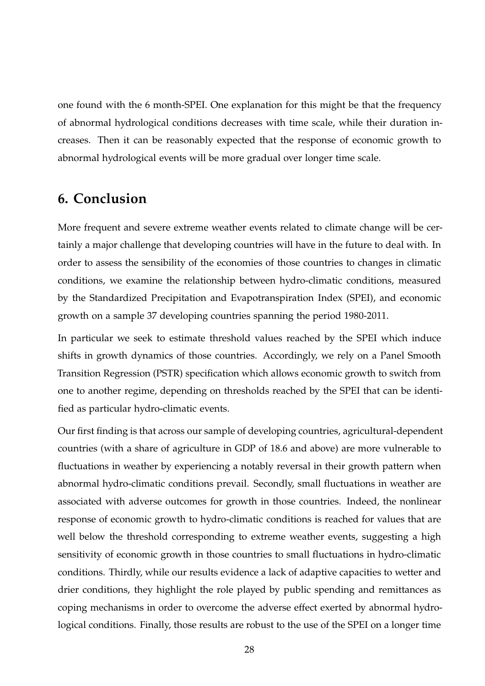one found with the 6 month-SPEI. One explanation for this might be that the frequency of abnormal hydrological conditions decreases with time scale, while their duration increases. Then it can be reasonably expected that the response of economic growth to abnormal hydrological events will be more gradual over longer time scale.

# **6. Conclusion**

More frequent and severe extreme weather events related to climate change will be certainly a major challenge that developing countries will have in the future to deal with. In order to assess the sensibility of the economies of those countries to changes in climatic conditions, we examine the relationship between hydro-climatic conditions, measured by the Standardized Precipitation and Evapotranspiration Index (SPEI), and economic growth on a sample 37 developing countries spanning the period 1980-2011.

In particular we seek to estimate threshold values reached by the SPEI which induce shifts in growth dynamics of those countries. Accordingly, we rely on a Panel Smooth Transition Regression (PSTR) specification which allows economic growth to switch from one to another regime, depending on thresholds reached by the SPEI that can be identified as particular hydro-climatic events.

Our first finding is that across our sample of developing countries, agricultural-dependent countries (with a share of agriculture in GDP of 18.6 and above) are more vulnerable to fluctuations in weather by experiencing a notably reversal in their growth pattern when abnormal hydro-climatic conditions prevail. Secondly, small fluctuations in weather are associated with adverse outcomes for growth in those countries. Indeed, the nonlinear response of economic growth to hydro-climatic conditions is reached for values that are well below the threshold corresponding to extreme weather events, suggesting a high sensitivity of economic growth in those countries to small fluctuations in hydro-climatic conditions. Thirdly, while our results evidence a lack of adaptive capacities to wetter and drier conditions, they highlight the role played by public spending and remittances as coping mechanisms in order to overcome the adverse effect exerted by abnormal hydrological conditions. Finally, those results are robust to the use of the SPEI on a longer time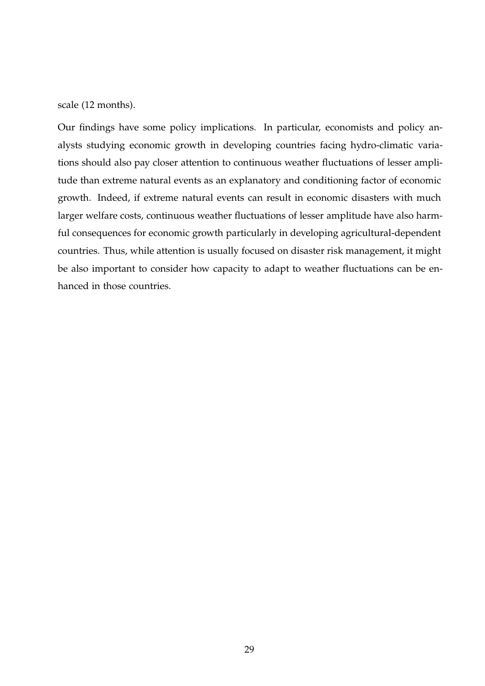scale (12 months).

Our findings have some policy implications. In particular, economists and policy analysts studying economic growth in developing countries facing hydro-climatic variations should also pay closer attention to continuous weather fluctuations of lesser amplitude than extreme natural events as an explanatory and conditioning factor of economic growth. Indeed, if extreme natural events can result in economic disasters with much larger welfare costs, continuous weather fluctuations of lesser amplitude have also harmful consequences for economic growth particularly in developing agricultural-dependent countries. Thus, while attention is usually focused on disaster risk management, it might be also important to consider how capacity to adapt to weather fluctuations can be enhanced in those countries.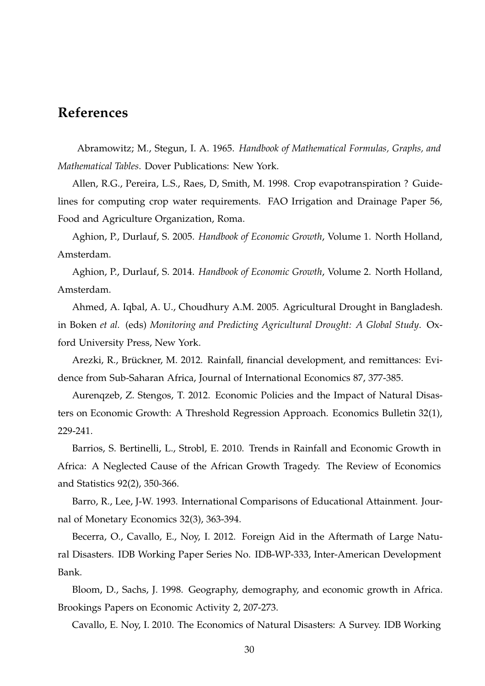# **References**

Abramowitz; M., Stegun, I. A. 1965. *Handbook of Mathematical Formulas, Graphs, and Mathematical Tables*. Dover Publications: New York.

Allen, R.G., Pereira, L.S., Raes, D, Smith, M. 1998. Crop evapotranspiration ? Guidelines for computing crop water requirements. FAO Irrigation and Drainage Paper 56, Food and Agriculture Organization, Roma.

Aghion, P., Durlauf, S. 2005. *Handbook of Economic Growth*, Volume 1. North Holland, Amsterdam.

Aghion, P., Durlauf, S. 2014. *Handbook of Economic Growth*, Volume 2. North Holland, Amsterdam.

Ahmed, A. Iqbal, A. U., Choudhury A.M. 2005. Agricultural Drought in Bangladesh. in Boken *et al.* (eds) *Monitoring and Predicting Agricultural Drought: A Global Study*. Oxford University Press, New York.

Arezki, R., Brückner, M. 2012. Rainfall, financial development, and remittances: Evidence from Sub-Saharan Africa, Journal of International Economics 87, 377-385.

Aurenqzeb, Z. Stengos, T. 2012. Economic Policies and the Impact of Natural Disasters on Economic Growth: A Threshold Regression Approach. Economics Bulletin 32(1), 229-241.

Barrios, S. Bertinelli, L., Strobl, E. 2010. Trends in Rainfall and Economic Growth in Africa: A Neglected Cause of the African Growth Tragedy. The Review of Economics and Statistics 92(2), 350-366.

Barro, R., Lee, J-W. 1993. International Comparisons of Educational Attainment. Journal of Monetary Economics 32(3), 363-394.

Becerra, O., Cavallo, E., Noy, I. 2012. Foreign Aid in the Aftermath of Large Natural Disasters. IDB Working Paper Series No. IDB-WP-333, Inter-American Development Bank.

Bloom, D., Sachs, J. 1998. Geography, demography, and economic growth in Africa. Brookings Papers on Economic Activity 2, 207-273.

Cavallo, E. Noy, I. 2010. The Economics of Natural Disasters: A Survey. IDB Working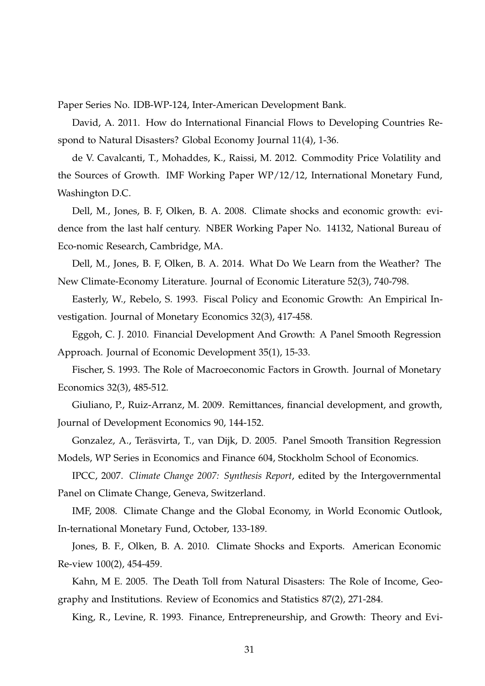Paper Series No. IDB-WP-124, Inter-American Development Bank.

David, A. 2011. How do International Financial Flows to Developing Countries Respond to Natural Disasters? Global Economy Journal 11(4), 1-36.

de V. Cavalcanti, T., Mohaddes, K., Raissi, M. 2012. Commodity Price Volatility and the Sources of Growth. IMF Working Paper WP/12/12, International Monetary Fund, Washington D.C.

Dell, M., Jones, B. F, Olken, B. A. 2008. Climate shocks and economic growth: evidence from the last half century. NBER Working Paper No. 14132, National Bureau of Eco-nomic Research, Cambridge, MA.

Dell, M., Jones, B. F, Olken, B. A. 2014. What Do We Learn from the Weather? The New Climate-Economy Literature. Journal of Economic Literature 52(3), 740-798.

Easterly, W., Rebelo, S. 1993. Fiscal Policy and Economic Growth: An Empirical Investigation. Journal of Monetary Economics 32(3), 417-458.

Eggoh, C. J. 2010. Financial Development And Growth: A Panel Smooth Regression Approach. Journal of Economic Development 35(1), 15-33.

Fischer, S. 1993. The Role of Macroeconomic Factors in Growth. Journal of Monetary Economics 32(3), 485-512.

Giuliano, P., Ruiz-Arranz, M. 2009. Remittances, financial development, and growth, Journal of Development Economics 90, 144-152.

Gonzalez, A., Teräsvirta, T., van Dijk, D. 2005. Panel Smooth Transition Regression Models, WP Series in Economics and Finance 604, Stockholm School of Economics.

IPCC, 2007. *Climate Change 2007: Synthesis Report*, edited by the Intergovernmental Panel on Climate Change, Geneva, Switzerland.

IMF, 2008. Climate Change and the Global Economy, in World Economic Outlook, In-ternational Monetary Fund, October, 133-189.

Jones, B. F., Olken, B. A. 2010. Climate Shocks and Exports. American Economic Re-view 100(2), 454-459.

Kahn, M E. 2005. The Death Toll from Natural Disasters: The Role of Income, Geography and Institutions. Review of Economics and Statistics 87(2), 271-284.

King, R., Levine, R. 1993. Finance, Entrepreneurship, and Growth: Theory and Evi-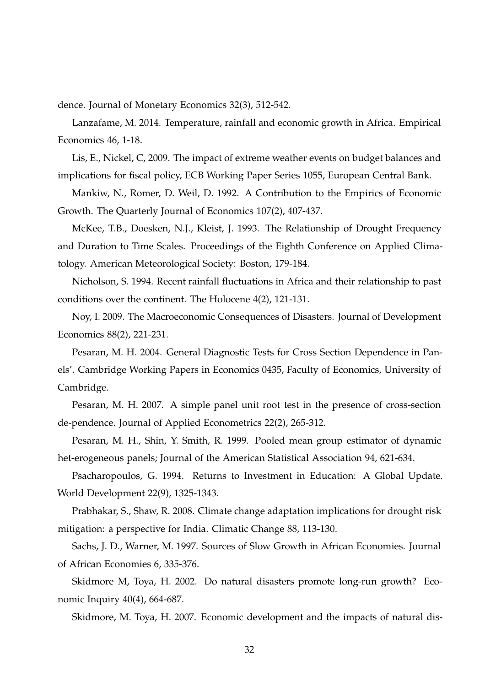dence. Journal of Monetary Economics 32(3), 512-542.

Lanzafame, M. 2014. Temperature, rainfall and economic growth in Africa. Empirical Economics 46, 1-18.

Lis, E., Nickel, C, 2009. The impact of extreme weather events on budget balances and implications for fiscal policy, ECB Working Paper Series 1055, European Central Bank.

Mankiw, N., Romer, D. Weil, D. 1992. A Contribution to the Empirics of Economic Growth. The Quarterly Journal of Economics 107(2), 407-437.

McKee, T.B., Doesken, N.J., Kleist, J. 1993. The Relationship of Drought Frequency and Duration to Time Scales. Proceedings of the Eighth Conference on Applied Climatology. American Meteorological Society: Boston, 179-184.

Nicholson, S. 1994. Recent rainfall fluctuations in Africa and their relationship to past conditions over the continent. The Holocene 4(2), 121-131.

Noy, I. 2009. The Macroeconomic Consequences of Disasters. Journal of Development Economics 88(2), 221-231.

Pesaran, M. H. 2004. General Diagnostic Tests for Cross Section Dependence in Panels'. Cambridge Working Papers in Economics 0435, Faculty of Economics, University of Cambridge.

Pesaran, M. H. 2007. A simple panel unit root test in the presence of cross-section de-pendence. Journal of Applied Econometrics 22(2), 265-312.

Pesaran, M. H., Shin, Y. Smith, R. 1999. Pooled mean group estimator of dynamic het-erogeneous panels; Journal of the American Statistical Association 94, 621-634.

Psacharopoulos, G. 1994. Returns to Investment in Education: A Global Update. World Development 22(9), 1325-1343.

Prabhakar, S., Shaw, R. 2008. Climate change adaptation implications for drought risk mitigation: a perspective for India. Climatic Change 88, 113-130.

Sachs, J. D., Warner, M. 1997. Sources of Slow Growth in African Economies. Journal of African Economies 6, 335-376.

Skidmore M, Toya, H. 2002. Do natural disasters promote long-run growth? Economic Inquiry 40(4), 664-687.

Skidmore, M. Toya, H. 2007. Economic development and the impacts of natural dis-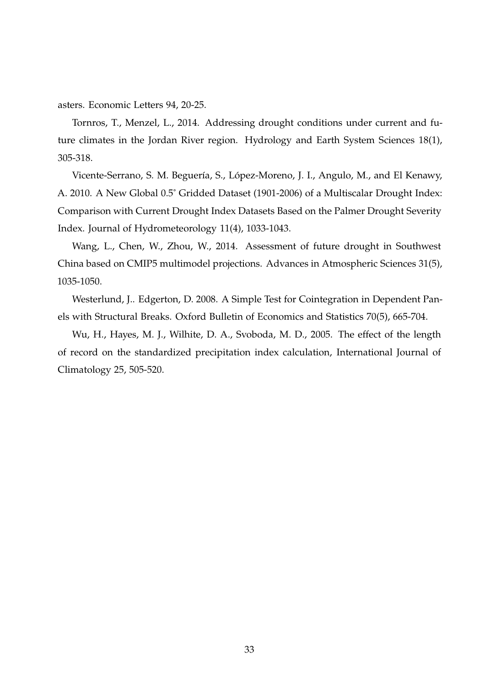asters. Economic Letters 94, 20-25.

Tornros, T., Menzel, L., 2014. Addressing drought conditions under current and future climates in the Jordan River region. Hydrology and Earth System Sciences 18(1), 305-318.

Vicente-Serrano, S. M. Beguería, S., López-Moreno, J. I., Angulo, M., and El Kenawy, A. 2010. A New Global 0.5˚ Gridded Dataset (1901-2006) of a Multiscalar Drought Index: Comparison with Current Drought Index Datasets Based on the Palmer Drought Severity Index. Journal of Hydrometeorology 11(4), 1033-1043.

Wang, L., Chen, W., Zhou, W., 2014. Assessment of future drought in Southwest China based on CMIP5 multimodel projections. Advances in Atmospheric Sciences 31(5), 1035-1050.

Westerlund, J.. Edgerton, D. 2008. A Simple Test for Cointegration in Dependent Panels with Structural Breaks. Oxford Bulletin of Economics and Statistics 70(5), 665-704.

Wu, H., Hayes, M. J., Wilhite, D. A., Svoboda, M. D., 2005. The effect of the length of record on the standardized precipitation index calculation, International Journal of Climatology 25, 505-520.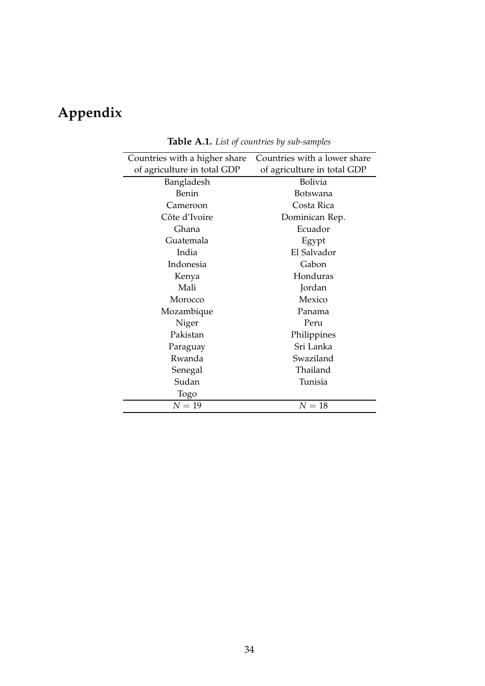# **Appendix**

| Countries with a higher share | Countries with a lower share |  |  |
|-------------------------------|------------------------------|--|--|
| of agriculture in total GDP   | of agriculture in total GDP  |  |  |
| Bangladesh                    | Bolivia                      |  |  |
| <b>Benin</b>                  | Botswana                     |  |  |
| Cameroon                      | Costa Rica                   |  |  |
| Côte d'Ivoire                 | Dominican Rep.               |  |  |
| Ghana                         | Ecuador                      |  |  |
| Guatemala                     | Egypt                        |  |  |
| India                         | El Salvador                  |  |  |
| Indonesia                     | Gabon                        |  |  |
| Kenya                         | Honduras                     |  |  |
| Mali                          | Jordan                       |  |  |
| Morocco                       | Mexico                       |  |  |
| Mozambique                    | Panama                       |  |  |
| Niger                         | Peru                         |  |  |
| Pakistan                      | Philippines                  |  |  |
| Paraguay                      | Sri Lanka                    |  |  |
| Rwanda                        | Swaziland                    |  |  |
| Senegal                       | Thailand                     |  |  |
| Sudan                         | Tunisia                      |  |  |
| Togo                          |                              |  |  |
| $N=19$                        | $N=18$                       |  |  |

**Table A.1.** *List of countries by sub-samples*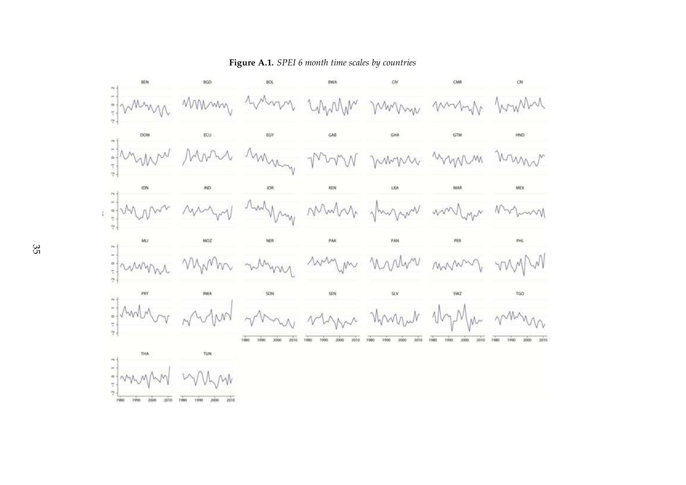

**Figure A.1.** *SPEI 6 month time scales by countries*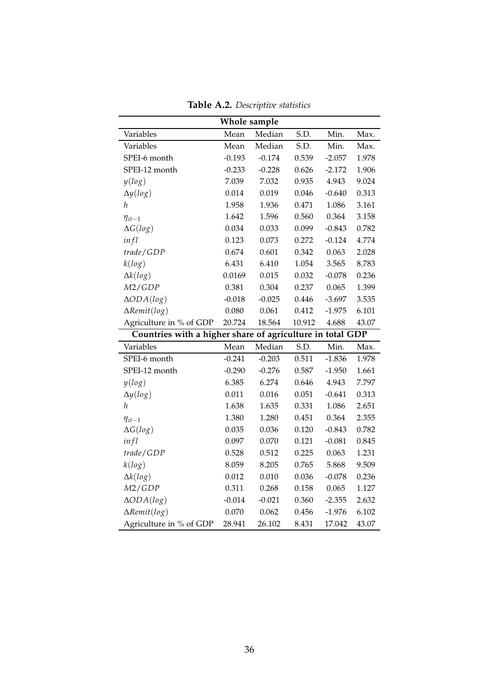| Whole sample                                              |          |          |        |          |       |
|-----------------------------------------------------------|----------|----------|--------|----------|-------|
| Variables                                                 | Mean     | Median   | S.D.   | Min.     | Max.  |
| Variables                                                 | Mean     | Median   | S.D.   | Min.     | Max.  |
| SPEI-6 month                                              | $-0.193$ | $-0.174$ | 0.539  | $-2.057$ | 1.978 |
| SPEI-12 month                                             | $-0.233$ | $-0.228$ | 0.626  | $-2.172$ | 1.906 |
| y(log)                                                    | 7.039    | 7.032    | 0.935  | 4.943    | 9.024 |
| $\Delta y(log)$                                           | 0.014    | 0.019    | 0.046  | $-0.640$ | 0.313 |
| h                                                         | 1.958    | 1.936    | 0.471  | 1.086    | 3.161 |
| $\eta_{it-1}$                                             | 1.642    | 1.596    | 0.560  | 0.364    | 3.158 |
| $\Delta G(log)$                                           | 0.034    | 0.033    | 0.099  | $-0.843$ | 0.782 |
| infl                                                      | 0.123    | 0.073    | 0.272  | $-0.124$ | 4.774 |
| trade/GDP                                                 | 0.674    | 0.601    | 0.342  | 0.063    | 2.028 |
| k(log)                                                    | 6.431    | 6.410    | 1.054  | 3.565    | 8.783 |
| $\Delta k(log)$                                           | 0.0169   | 0.015    | 0.032  | $-0.078$ | 0.236 |
| M2/GDP                                                    | 0.381    | 0.304    | 0.237  | 0.065    | 1.399 |
| $\triangle ODA(log)$                                      | $-0.018$ | $-0.025$ | 0.446  | $-3.697$ | 3.535 |
| $\Delta$ Remit(log)                                       | 0.080    | 0.061    | 0.412  | $-1.975$ | 6.101 |
| Agriculture in % of GDP                                   | 20.724   | 18.564   | 10.912 | 4.688    | 43.07 |
| Countries with a higher share of agriculture in total GDP |          |          |        |          |       |
| Variables                                                 | Mean     | Median   | S.D.   | Min.     | Max.  |
| SPEI-6 month                                              | $-0.241$ | $-0.203$ | 0.511  | $-1.836$ | 1.978 |
| SPEI-12 month                                             | $-0.290$ | $-0.276$ | 0.587  | $-1.950$ | 1.661 |
| y(log)                                                    | 6.385    | 6.274    | 0.646  | 4.943    | 7.797 |
| $\Delta y(log)$                                           | 0.011    | 0.016    | 0.051  | $-0.641$ | 0.313 |
| h                                                         | 1.638    | 1.635    | 0.331  | 1.086    | 2.651 |
| $\eta_{it-1}$                                             | 1.380    | 1.280    | 0.451  | 0.364    | 2.355 |
| $\Delta G(log)$                                           | 0.035    | 0.036    | 0.120  | $-0.843$ | 0.782 |
| infl                                                      | 0.097    | 0.070    | 0.121  | $-0.081$ | 0.845 |
| trade/GDP                                                 | 0.528    | 0.512    | 0.225  | 0.063    | 1.231 |
| k(log)                                                    | 8.059    | 8.205    | 0.765  | 5.868    | 9.509 |
| $\Delta k(log)$                                           | 0.012    | 0.010    | 0.036  | $-0.078$ | 0.236 |
| M2/GDP                                                    | 0.311    | 0.268    | 0.158  | 0.065    | 1.127 |
| $\triangle ODA(log)$                                      | $-0.014$ | $-0.021$ | 0.360  | $-2.355$ | 2.632 |
| $\Delta$ Remit(log)                                       | 0.070    | 0.062    | 0.456  | $-1.976$ | 6.102 |
| Agriculture in % of GDP                                   | 28.941   | 26.102   | 8.431  | 17.042   | 43.07 |

**Table A.2.** *Descriptive statistics*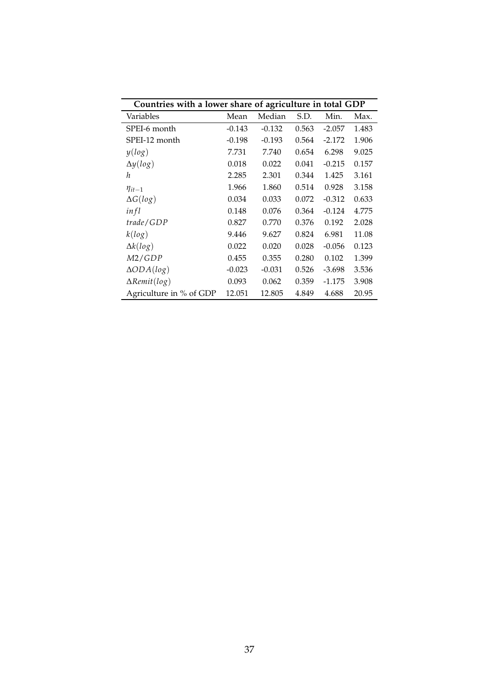| Countries with a lower share of agriculture in total GDP |          |          |       |          |       |  |  |
|----------------------------------------------------------|----------|----------|-------|----------|-------|--|--|
| Variables                                                | Mean     | Median   | S.D.  | Min.     | Max.  |  |  |
| SPEI-6 month                                             | $-0.143$ | $-0.132$ | 0.563 | $-2.057$ | 1.483 |  |  |
| SPEI-12 month                                            | $-0.198$ | $-0.193$ | 0.564 | $-2.172$ | 1.906 |  |  |
| y(log)                                                   | 7.731    | 7.740    | 0.654 | 6.298    | 9.025 |  |  |
| $\Delta y(log)$                                          | 0.018    | 0.022    | 0.041 | $-0.215$ | 0.157 |  |  |
| h                                                        | 2.285    | 2.301    | 0.344 | 1.425    | 3.161 |  |  |
| $\eta_{it-1}$                                            | 1.966    | 1.860    | 0.514 | 0.928    | 3.158 |  |  |
| $\Delta G(log)$                                          | 0.034    | 0.033    | 0.072 | $-0.312$ | 0.633 |  |  |
| in fl                                                    | 0.148    | 0.076    | 0.364 | $-0.124$ | 4.775 |  |  |
| trade/GDP                                                | 0.827    | 0.770    | 0.376 | 0.192    | 2.028 |  |  |
| k(log)                                                   | 9.446    | 9.627    | 0.824 | 6.981    | 11.08 |  |  |
| $\Delta k(log)$                                          | 0.022    | 0.020    | 0.028 | $-0.056$ | 0.123 |  |  |
| M2/GDP                                                   | 0.455    | 0.355    | 0.280 | 0.102    | 1.399 |  |  |
| $\triangle ODA(log)$                                     | $-0.023$ | $-0.031$ | 0.526 | $-3.698$ | 3.536 |  |  |
| $\Delta$ Remit(log)                                      | 0.093    | 0.062    | 0.359 | $-1.175$ | 3.908 |  |  |
| Agriculture in % of GDP                                  | 12.051   | 12.805   | 4.849 | 4.688    | 20.95 |  |  |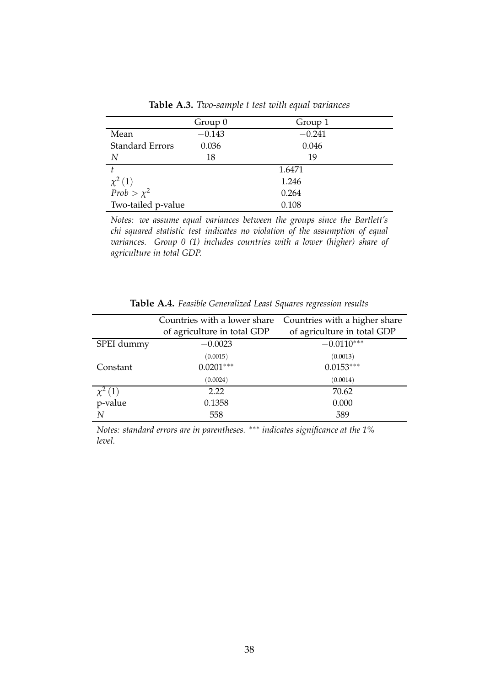|                                | Group 0  | Group 1  |
|--------------------------------|----------|----------|
|                                |          |          |
| Mean                           | $-0.143$ | $-0.241$ |
| <b>Standard Errors</b>         | 0.036    | 0.046    |
| N                              | 18       | 19       |
|                                |          | 1.6471   |
| $\chi^2(1)$<br>Prob > $\chi^2$ |          | 1.246    |
|                                |          | 0.264    |
| Two-tailed p-value             |          | 0.108    |

**Table A.3.** *Two-sample t test with equal variances*

*Notes: we assume equal variances between the groups since the Bartlett's chi squared statistic test indicates no violation of the assumption of equal variances. Group 0 (1) includes countries with a lower (higher) share of agriculture in total GDP.*

|             | Countries with a lower share | Countries with a higher share |
|-------------|------------------------------|-------------------------------|
|             | of agriculture in total GDP  | of agriculture in total GDP   |
| SPEI dummy  | $-0.0023$                    | $-0.0110***$                  |
|             | (0.0015)                     | (0.0013)                      |
| Constant    | $0.0201***$                  | $0.0153***$                   |
|             | (0.0024)                     | (0.0014)                      |
| $\chi^2(1)$ | 2.22                         | 70.62                         |
| p-value     | 0.1358                       | 0.000                         |
| N           | 558                          | 589                           |

**Table A.4.** *Feasible Generalized Least Squares regression results*

*Notes: standard errors are in parentheses.* ∗∗∗ *indicates significance at the 1% level.*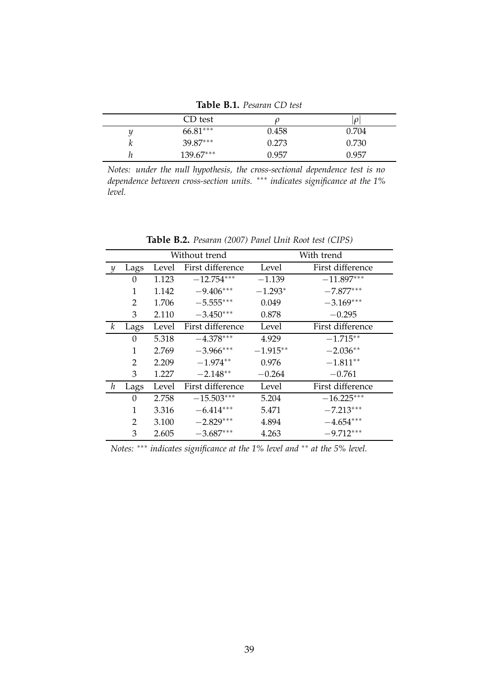**Table B.1.** *Pesaran CD test*

|   | CD test    |       | $\mathcal{O}$ |
|---|------------|-------|---------------|
| u | $66.81***$ | 0.458 | 0.704         |
| r | $39.87***$ | 0.273 | 0.730         |
| п | 139.67***  | 0.957 | 0.957         |

*Notes: under the null hypothesis, the cross-sectional dependence test is no dependence between cross-section units.* ∗∗∗ *indicates significance at the 1% level.*

|               |      | Without trend |                  |            | With trend       |
|---------------|------|---------------|------------------|------------|------------------|
| $\mathcal{Y}$ | Lags | Level         | First difference | Level      | First difference |
|               | 0    | 1.123         | $-12.754***$     | $-1.139$   | $-11.897***$     |
|               | 1    | 1.142         | $-9.406***$      | $-1.293*$  | $-7.877***$      |
|               | 2    | 1.706         | $-5.555***$      | 0.049      | $-3.169***$      |
|               | 3    | 2.110         | $-3.450***$      | 0.878      | $-0.295$         |
| k             | Lags | Level         | First difference | Level      | First difference |
|               | 0    | 5.318         | $-4.378***$      | 4.929      | $-1.715**$       |
|               | 1    | 2.769         | $-3.966***$      | $-1.915**$ | $-2.036**$       |
|               | 2    | 2.209         | $-1.974**$       | 0.976      | $-1.811**$       |
|               | 3    | 1.227         | $-2.148**$       | $-0.264$   | $-0.761$         |
| h             | Lags | Level         | First difference | Level      | First difference |
|               | 0    | 2.758         | $-15.503***$     | 5.204      | $-16.225***$     |
|               | 1    | 3.316         | $-6.414***$      | 5.471      | $-7.213***$      |
|               | 2    | 3.100         | $-2.829***$      | 4.894      | $-4.654***$      |
|               | 3    | 2.605         | $-3.687***$      | 4.263      | $-9.712***$      |

**Table B.2.** *Pesaran (2007) Panel Unit Root test (CIPS)*

*Notes:* ∗∗∗ *indicates significance at the 1% level and* ∗∗ *at the 5% level.*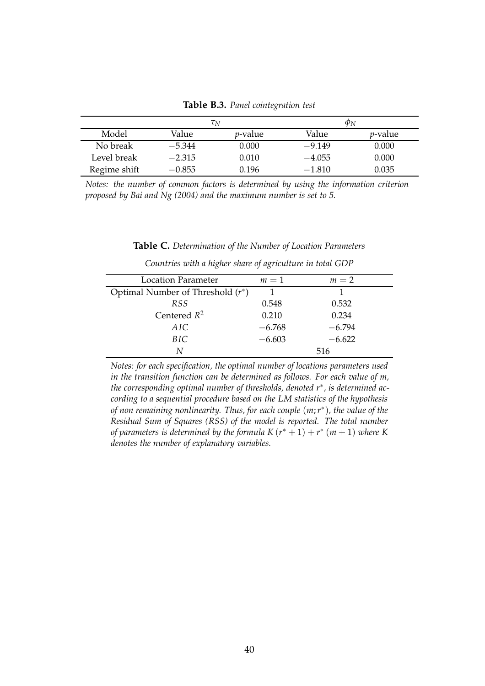**Table B.3.** *Panel cointegration test*

|              | $\tau_N$ |                 | $\varphi_N$ |                 |
|--------------|----------|-----------------|-------------|-----------------|
| Model        | Value    | <i>p</i> -value | Value       | <i>p</i> -value |
| No break     | $-5.344$ | 0.000           | $-9.149$    | 0.000           |
| Level break  | $-2.315$ | 0.010           | $-4.055$    | 0.000           |
| Regime shift | $-0.855$ | 0.196           | $-1.810$    | 0.035           |

*Notes: the number of common factors is determined by using the information criterion proposed by Bai and Ng (2004) and the maximum number is set to 5.*

#### **Table C.** *Determination of the Number of Location Parameters*

| <b>Location Parameter</b>           | $m=1$    | $m=2$    |
|-------------------------------------|----------|----------|
| Optimal Number of Threshold $(r^*)$ |          |          |
| RSS <sup></sup>                     | 0.548    | 0.532    |
| Centered $R^2$                      | 0.210    | 0.234    |
| AIC                                 | $-6.768$ | $-6.794$ |
| BIC                                 | $-6.603$ | $-6.622$ |
| N                                   |          | 516      |
|                                     |          |          |

*Countries with a higher share of agriculture in total GDP*

*Notes: for each specification, the optimal number of locations parameters used in the transition function can be determined as follows. For each value of m, the corresponding optimal number of thresholds, denoted r*<sup>∗</sup> *, is determined according to a sequential procedure based on the LM statistics of the hypothesis of non remaining nonlinearity. Thus, for each couple* (*m*;*r* ∗ )*, the value of the Residual Sum of Squares (RSS) of the model is reported. The total number of parameters is determined by the formula*  $K(r^* + 1) + r^*$   $(m + 1)$  *where* K *denotes the number of explanatory variables.*